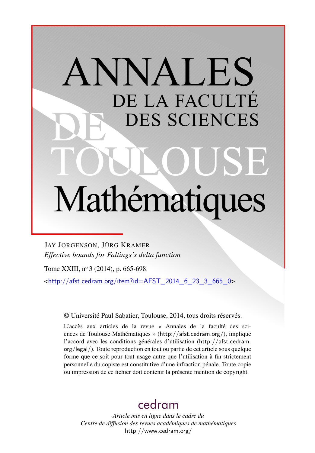# ANNALES DE LA FACULTÉ DES SCIENCES Mathématiques

JAY JORGENSON, JÜRG KRAMER *Effective bounds for Faltings's delta function*

Tome XXIII, nº 3 (2014), p. 665-698.

 $\text{chttp:}/\text{/afst.cedram.org/item?id=AFST}$  2014 6 23 3 665 0>

© Université Paul Sabatier, Toulouse, 2014, tous droits réservés.

L'accès aux articles de la revue « Annales de la faculté des sciences de Toulouse Mathématiques » (<http://afst.cedram.org/>), implique l'accord avec les conditions générales d'utilisation ([http://afst.cedram.](http://afst.cedram.org/legal/) [org/legal/](http://afst.cedram.org/legal/)). Toute reproduction en tout ou partie de cet article sous quelque forme que ce soit pour tout usage autre que l'utilisation à fin strictement personnelle du copiste est constitutive d'une infraction pénale. Toute copie ou impression de ce fichier doit contenir la présente mention de copyright.

# [cedram](http://www.cedram.org/)

*Article mis en ligne dans le cadre du Centre de diffusion des revues académiques de mathématiques* <http://www.cedram.org/>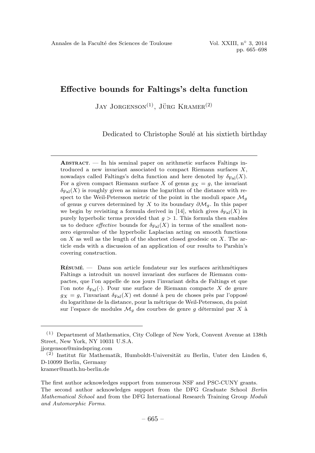JAY JORGENSON<sup>(1)</sup>, JÜRG KRAMER<sup>(2)</sup>

Dedicated to Christophe Soulé at his sixtieth birthday

ABSTRACT. — In his seminal paper on arithmetic surfaces Faltings introduced a new invariant associated to compact Riemann surfaces X, nowadays called Faltings's delta function and here denoted by  $\delta_{\text{Fal}}(X)$ . For a given compact Riemann surface X of genus  $g_X = g$ , the invariant  $\delta_{\text{Fal}}(X)$  is roughly given as minus the logarithm of the distance with respect to the Weil-Petersson metric of the point in the moduli space  $\mathcal{M}_q$ of genus g curves determined by X to its boundary  $\partial \mathcal{M}_q$ . In this paper we begin by revisiting a formula derived in [14], which gives  $\delta_{\text{Fal}}(X)$  in purely hyperbolic terms provided that  $g > 1$ . This formula then enables us to deduce *effective* bounds for  $\delta_{\text{Fal}}(X)$  in terms of the smallest nonzero eigenvalue of the hyperbolic Laplacian acting on smooth functions on  $X$  as well as the length of the shortest closed geodesic on  $X$ . The article ends with a discussion of an application of our results to Parshin's covering construction.

 $R$ ÉSUMÉ.  $-$  Dans son article fondateur sur les surfaces arithmétiques Faltings a introduit un nouvel invariant des surfaces de Riemann compactes, que l'on appelle de nos jours l'invariant delta de Faltings et que l'on note  $\delta_{\text{Fal}}(\cdot)$ . Pour une surface de Riemann compacte X de genre  $g_X = g$ , l'invariant  $\delta_{\text{Fal}}(X)$  est donné à peu de choses près par l'opposé du logarithme de la distance, pour la m´etrique de Weil-Petersson, du point sur l'espace de modules  $\mathcal{M}_q$  des courbes de genre g déterminé par X à

 $(1)$  Department of Mathematics, City College of New York, Convent Avenue at 138th Street, New York, NY 10031 U.S.A.

jjorgenson@mindspring.com

 $(2)$  Institut für Mathematik, Humboldt-Universität zu Berlin, Unter den Linden 6, D-10099 Berlin, Germany

kramer@math.hu-berlin.de

The first author acknowledges support from numerous NSF and PSC-CUNY grants. The second author acknowledges support from the DFG Graduate School Berlin Mathematical School and from the DFG International Research Training Group Moduli and Automorphic Forms.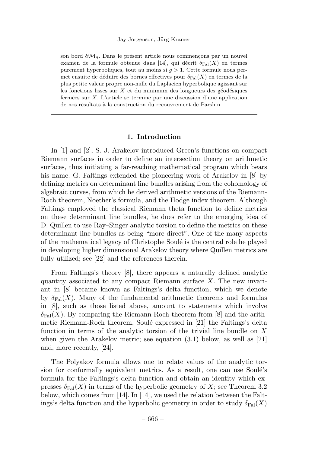#### Jay Jorgenson, Jürg Kramer

son bord  $\partial \mathcal{M}_q$ . Dans le présent article nous commençons par un nouvel examen de la formule obtenue dans [14], qui décrit  $\delta_{\text{Fal}}(X)$  en termes purement hyperboliques, tout au moins si  $q > 1$ . Cette formule nous permet ensuite de déduire des bornes effectives pour  $\delta_{\text{Fal}}(X)$  en termes de la plus petite valeur propre non-nulle du Laplacien hyperbolique agissant sur les fonctions lisses sur  $X$  et du minimum des longueurs des géodésiques fermées sur  $X$ . L'article se termine par une discussion d'une application de nos résultats à la construction du recouvrement de Parshin.

#### 1. Introduction

In [1] and [2], S. J. Arakelov introduced Green's functions on compact Riemann surfaces in order to define an intersection theory on arithmetic surfaces, thus initiating a far-reaching mathematical program which bears his name. G. Faltings extended the pioneering work of Arakelov in [8] by defining metrics on determinant line bundles arising from the cohomology of algebraic curves, from which he derived arithmetic versions of the Riemann-Roch theorem, Noether's formula, and the Hodge index theorem.Although Faltings employed the classical Riemann theta function to define metrics on these determinant line bundles, he does refer to the emerging idea of D.Quillen to use Ray–Singer analytic torsion to define the metrics on these determinant line bundles as being "more direct". One of the many aspects of the mathematical legacy of Christophe Soulé is the central role he played in developing higher dimensional Arakelov theory where Quillen metrics are fully utilized; see [22] and the references therein.

From Faltings's theory [8], there appears a naturally defined analytic quantity associated to any compact Riemann surface  $X$ . The new invariant in [8] became known as Faltings's delta function, which we denote by  $\delta_{\text{Fal}}(X)$ . Many of the fundamental arithmetic theorems and formulas in [8], such as those listed above, amount to statements which involve  $\delta_{\text{Fal}}(X)$ . By comparing the Riemann-Roch theorem from [8] and the arithmetic Riemann-Roch theorem, Soulé expressed in [21] the Faltings's delta function in terms of the analytic torsion of the trivial line bundle on X when given the Arakelov metric; see equation (3.1) below, as well as [21] and, more recently, [24].

The Polyakov formula allows one to relate values of the analytic torsion for conformally equivalent metrics. As a result, one can use Soulé's formula for the Faltings's delta function and obtain an identity which expresses  $\delta_{\text{Fal}}(X)$  in terms of the hyperbolic geometry of X; see Theorem 3.2 below, which comes from [14]. In [14], we used the relation between the Faltings's delta function and the hyperbolic geometry in order to study  $\delta_{\text{Fal}}(X)$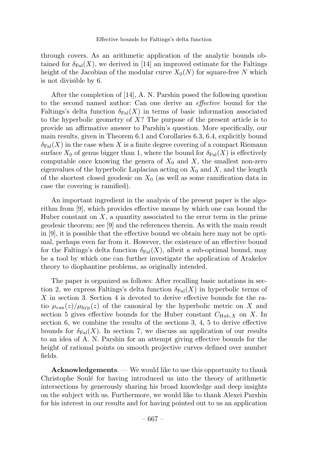through covers.As an arithmetic application of the analytic bounds obtained for  $\delta_{\text{Fal}}(X)$ , we derived in [14] an improved estimate for the Faltings height of the Jacobian of the modular curve  $X_0(N)$  for square-free N which is not divisible by 6.

After the completion of  $[14]$ , A.N. Parshin posed the following question to the second named author: Can one derive an effective bound for the Faltings's delta function  $\delta_{\text{Fal}}(X)$  in terms of basic information associated to the hyperbolic geometry of  $X$ ? The purpose of the present article is to provide an affirmative answer to Parshin's question.More specifically, our main results, given in Theorem 6.1 and Corollaries 6.3, 6.4, explicitly bound  $\delta_{\text{Fal}}(X)$  in the case when X is a finite degree covering of a compact Riemann surface  $X_0$  of genus bigger than 1, where the bound for  $\delta_{\text{Fal}}(X)$  is effectively computable once knowing the genera of  $X_0$  and X, the smallest non-zero eigenvalues of the hyperbolic Laplacian acting on  $X_0$  and  $X$ , and the length of the shortest closed geodesic on  $X_0$  (as well as some ramification data in case the covering is ramified).

An important ingredient in the analysis of the present paper is the algorithm from [9], which provides effective means by which one can bound the Huber constant on  $X$ , a quantity associated to the error term in the prime geodesic theorem; see [9] and the references therein.As with the main result in [9], it is possible that the effective bound we obtain here may not be optimal, perhaps even far from it.However, the existence of an effective bound for the Faltings's delta function  $\delta_{\text{Fal}}(X)$ , albeit a sub-optimal bound, may be a tool by which one can further investigate the application of Arakelov theory to diophantine problems, as originally intended.

The paper is organized as follows: After recalling basic notations in section 2, we express Faltings's delta function  $\delta_{\text{Fal}}(X)$  in hyperbolic terms of  $X$  in section 3. Section 4 is devoted to derive effective bounds for the ratio  $\mu_{\text{can}}(z)/\mu_{\text{hyp}}(z)$  of the canonical by the hyperbolic metric on X and section 5 gives effective bounds for the Huber constant  $C_{\text{Hub},X}$  on X. In section 6, we combine the results of the sections 3, 4, 5 to derive effective bounds for  $\delta_{\text{Fal}}(X)$ . In section 7, we discuss an application of our results to an idea of A.N.Parshin for an attempt giving effective bounds for the height of rational points on smooth projective curves defined over number fields.

Acknowledgements.— We would like to use this opportunity to thank Christophe Soulé for having introduced us into the theory of arithmetic intersections by generously sharing his broad knowledge and deep insights on the subject with us.Furthermore, we would like to thank Alexei Parshin for his interest in our results and for having pointed out to us an application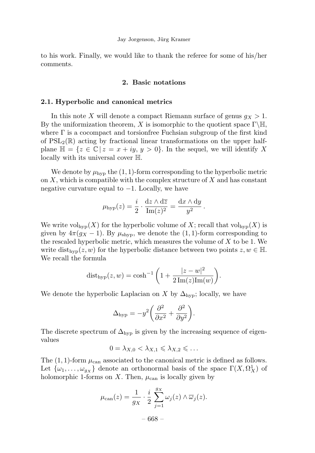to his work.Finally, we would like to thank the referee for some of his/her comments.

# 2. Basic notations

#### 2.1. Hyperbolic and canonical metrics

In this note X will denote a compact Riemann surface of genus  $q_X > 1$ . By the uniformization theorem, X is isomorphic to the quotient space  $\Gamma\backslash\mathbb{H}$ , where  $\Gamma$  is a cocompact and torsionfree Fuchsian subgroup of the first kind of  $PSL_2(\mathbb{R})$  acting by fractional linear transformations on the upper halfplane  $\mathbb{H} = \{z \in \mathbb{C} \mid z = x + iy, y > 0\}$ . In the sequel, we will identify X locally with its universal cover H.

We denote by  $\mu_{\text{hvp}}$  the (1, 1)-form corresponding to the hyperbolic metric on  $X$ , which is compatible with the complex structure of  $X$  and has constant negative curvature equal to  $-1$ . Locally, we have

$$
\mu_{\rm hyp}(z) = \frac{i}{2} \cdot \frac{\mathrm{d}z \wedge \mathrm{d}\overline{z}}{\mathrm{Im}(z)^2} = \frac{\mathrm{d}x \wedge \mathrm{d}y}{y^2}.
$$

We write  $\text{vol}_{\text{hyp}}(X)$  for the hyperbolic volume of X; recall that  $\text{vol}_{\text{hyp}}(X)$  is given by  $4\pi(g_X - 1)$ . By  $\mu_{\text{shvp}}$ , we denote the  $(1, 1)$ -form corresponding to the rescaled hyperbolic metric, which measures the volume of  $X$  to be 1. We write dist<sub>hyp</sub> $(z, w)$  for the hyperbolic distance between two points  $z, w \in \mathbb{H}$ . We recall the formula

$$
dist_{hyp}(z,w) = \cosh^{-1}\left(1 + \frac{|z-w|^2}{2\operatorname{Im}(z)\operatorname{Im}(w)}\right).
$$

We denote the hyperbolic Laplacian on X by  $\Delta_{\text{hyp}}$ ; locally, we have

$$
\Delta_{\rm hyp} = -y^2 \left( \frac{\partial^2}{\partial x^2} + \frac{\partial^2}{\partial y^2} \right).
$$

The discrete spectrum of  $\Delta_{\rm hyp}$  is given by the increasing sequence of eigenvalues

$$
0 = \lambda_{X,0} < \lambda_{X,1} \leqslant \lambda_{X,2} \leqslant \dots
$$

The  $(1, 1)$ -form  $\mu_{\text{can}}$  associated to the canonical metric is defined as follows. Let  $\{\omega_1, \ldots, \omega_{g_X}\}\)$  denote an orthonormal basis of the space  $\Gamma(X, \Omega_X^1)$  of holomorphic 1-forms on X. Then,  $\mu_{\text{can}}$  is locally given by

$$
\mu_{\text{can}}(z) = \frac{1}{g_X} \cdot \frac{i}{2} \sum_{j=1}^{g_X} \omega_j(z) \wedge \overline{\omega}_j(z).
$$

$$
-668 -
$$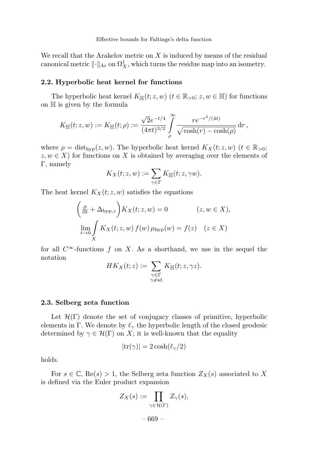We recall that the Arakelov metric on  $X$  is induced by means of the residual canonical metric  $\lVert \cdot \rVert_{\text{Ar}}$  on  $\Omega^1_X$ , which turns the residue map into an isometry.

# 2.2. Hyperbolic heat kernel for functions

The hyperbolic heat kernel  $K_{\mathbb{H}}(t; z, w)$   $(t \in \mathbb{R}_{>0}; z, w \in \mathbb{H})$  for functions on H is given by the formula

$$
K_{\mathbb{H}}(t; z, w) := K_{\mathbb{H}}(t; \rho) := \frac{\sqrt{2}e^{-t/4}}{(4\pi t)^{3/2}} \int\limits_{\rho}^{\infty} \frac{re^{-r^2/(4t)}}{\sqrt{\cosh(r) - \cosh(\rho)}} dr,
$$

where  $\rho = \text{dist}_{\text{hyp}}(z, w)$ . The hyperbolic heat kernel  $K_X(t; z, w)$  ( $t \in \mathbb{R}_{>0}$ ;  $z, w \in X$ ) for functions on X is obtained by averaging over the elements of Γ, namely

$$
K_X(t; z, w) := \sum_{\gamma \in \Gamma} K_{\mathbb{H}}(t; z, \gamma w).
$$

The heat kernel  $K_X(t; z, w)$  satisfies the equations

$$
\left(\frac{\partial}{\partial t} + \Delta_{\text{hyp},z}\right) K_X(t; z, w) = 0 \qquad (z, w \in X),
$$
  

$$
\lim_{t \to 0} \int_X K_X(t; z, w) f(w) \mu_{\text{hyp}}(w) = f(z) \quad (z \in X)
$$

for all  $C^{\infty}$ -functions f on X. As a shorthand, we use in the sequel the notation

$$
HK_X(t;z) := \sum_{\substack{\gamma \in \Gamma \\ \gamma \neq \text{id}}} K_{\mathbb{H}}(t;z,\gamma z).
$$

#### 2.3. Selberg zeta function

Let  $\mathcal{H}(\Gamma)$  denote the set of conjugacy classes of primitive, hyperbolic elements in Γ. We denote by  $\ell_{\gamma}$  the hyperbolic length of the closed geodesic determined by  $\gamma \in \mathcal{H}(\Gamma)$  on X; it is well-known that the equality

$$
|\mathrm{tr}(\gamma)| = 2\cosh(\ell_\gamma/2)
$$

holds.

For  $s \in \mathbb{C}$ , Re $(s) > 1$ , the Selberg zeta function  $Z_X(s)$  associated to X is defined via the Euler product expansion

$$
Z_X(s) := \prod_{\gamma \in \mathcal{H}(\Gamma)} Z_{\gamma}(s),
$$

– 669 –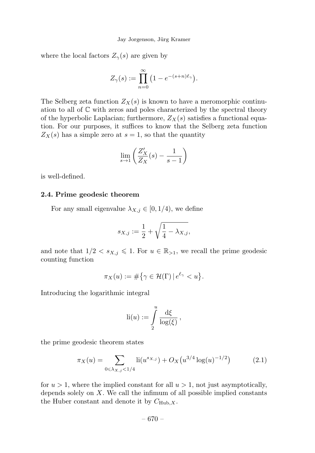where the local factors  $Z_{\gamma}(s)$  are given by

$$
Z_{\gamma}(s) := \prod_{n=0}^{\infty} \left(1 - e^{-(s+n)\ell_{\gamma}}\right).
$$

The Selberg zeta function  $Z_X(s)$  is known to have a meromorphic continuation to all of C with zeros and poles characterized by the spectral theory of the hyperbolic Laplacian; furthermore,  $Z_X(s)$  satisfies a functional equation. For our purposes, it suffices to know that the Selberg zeta function  $Z_X(s)$  has a simple zero at  $s = 1$ , so that the quantity

$$
\lim_{s \to 1} \left( \frac{Z'_X}{Z_X}(s) - \frac{1}{s - 1} \right)
$$

is well-defined.

# 2.4. Prime geodesic theorem

For any small eigenvalue  $\lambda_{X,j} \in [0, 1/4)$ , we define

$$
s_{X,j}:=\frac{1}{2}+\sqrt{\frac{1}{4}-\lambda_{X,j}},
$$

and note that  $1/2 < s_{X,j} \leq 1$ . For  $u \in \mathbb{R}_{>1}$ , we recall the prime geodesic counting function

$$
\pi_X(u) := \#\big\{\gamma \in \mathcal{H}(\Gamma) \,|\, e^{\ell_{\gamma}} < u\big\}.
$$

Introducing the logarithmic integral

$$
li(u) := \int_{2}^{u} \frac{d\xi}{\log(\xi)},
$$

the prime geodesic theorem states

$$
\pi_X(u) = \sum_{0 \le \lambda_{X,j} < 1/4} \operatorname{li}(u^{s_{X,j}}) + O_X\big(u^{3/4} \log(u)^{-1/2}\big) \tag{2.1}
$$

for  $u > 1$ , where the implied constant for all  $u > 1$ , not just asymptotically, depends solely on  $X$ . We call the infimum of all possible implied constants the Huber constant and denote it by  $C_{\text{Hub.}X}$ .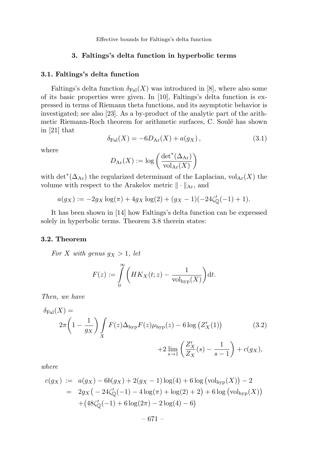# 3. Faltings's delta function in hyperbolic terms

# 3.1. Faltings's delta function

Faltings's delta function  $\delta_{\text{Fal}}(X)$  was introduced in [8], where also some of its basic properties were given.In [10], Faltings's delta function is expressed in terms of Riemann theta functions, and its asymptotic behavior is investigated; see also [23].As a by-product of the analytic part of the arithmetic Riemann-Roch theorem for arithmetic surfaces, C. Soulé has shown in [21] that

$$
\delta_{\text{Fal}}(X) = -6D_{\text{Ar}}(X) + a(g_X), \qquad (3.1)
$$

where

$$
D_{\text{Ar}}(X) := \log \left( \frac{\det^*(\Delta_{\text{Ar}})}{\text{vol}_{\text{Ar}}(X)} \right)
$$

with det<sup>\*</sup>( $\Delta_{Ar}$ ) the regularized determinant of the Laplacian, vol<sub>Ar</sub>(X) the volume with respect to the Arakelov metric  $\|\cdot\|_{Ar}$ , and

$$
a(g_X) := -2g_X \log(\pi) + 4g_X \log(2) + (g_X - 1)(-24\zeta'_\mathbb{Q}(-1) + 1).
$$

It has been shown in [14] how Faltings's delta function can be expressed solely in hyperbolic terms. Theorem 3.8 therein states:

# 3.2. Theorem

For X with genus  $g_X > 1$ , let

$$
F(z) := \int_{0}^{\infty} \left( HK_X(t; z) - \frac{1}{\text{vol}_{\text{hyp}}(X)} \right) dt.
$$

Then, we have

$$
\delta_{\text{Fal}}(X) =
$$
\n
$$
2\pi \left(1 - \frac{1}{g_X}\right) \int_X F(z) \Delta_{\text{hyp}} F(z) \mu_{\text{hyp}}(z) - 6 \log \left(Z'_X(1)\right)
$$
\n
$$
+ 2 \lim_{s \to 1} \left(\frac{Z'_X}{Z_X}(s) - \frac{1}{s - 1}\right) + c(g_X),
$$
\n(3.2)

where

$$
c(g_X) := a(g_X) - 6b(g_X) + 2(g_X - 1)\log(4) + 6\log(\text{vol}_{hyp}(X)) - 2
$$
  
=  $2g_X(-24\zeta'_\mathbb{Q}(-1) - 4\log(\pi) + \log(2) + 2) + 6\log(\text{vol}_{hyp}(X))$   
+  $(48\zeta'_\mathbb{Q}(-1) + 6\log(2\pi) - 2\log(4) - 6)$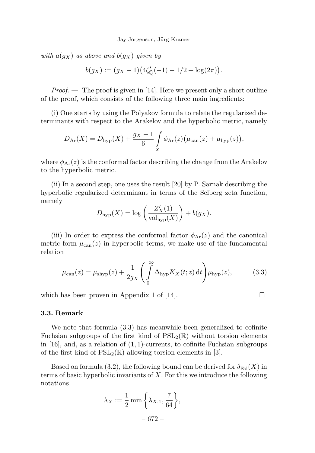with  $a(g_X)$  as above and  $b(g_X)$  given by

$$
b(g_X) := (g_X - 1)(4\zeta'_{\mathbb{Q}}(-1) - 1/2 + \log(2\pi)).
$$

*Proof.*  $\blacksquare$  The proof is given in [14]. Here we present only a short outline of the proof, which consists of the following three main ingredients:

(i) One starts by using the Polyakov formula to relate the regularized determinants with respect to the Arakelov and the hyperbolic metric, namely

$$
D_{\text{Ar}}(X) = D_{\text{hyp}}(X) + \frac{g_X - 1}{6} \int_X \phi_{\text{Ar}}(z) (\mu_{\text{can}}(z) + \mu_{\text{hyp}}(z)),
$$

where  $\phi_{Ar}(z)$  is the conformal factor describing the change from the Arakelov to the hyperbolic metric.

(ii) In a second step, one uses the result [20] by P.Sarnak describing the hyperbolic regularized determinant in terms of the Selberg zeta function, namely

$$
D_{\text{hyp}}(X) = \log\left(\frac{Z'_X(1)}{\text{vol}_{\text{hyp}}(X)}\right) + b(g_X).
$$

(iii) In order to express the conformal factor  $\phi_{Ar}(z)$  and the canonical metric form  $\mu_{\text{can}}(z)$  in hyperbolic terms, we make use of the fundamental relation

$$
\mu_{\text{can}}(z) = \mu_{\text{shyp}}(z) + \frac{1}{2g_X} \left( \int_0^\infty \Delta_{\text{hyp}} K_X(t; z) dt \right) \mu_{\text{hyp}}(z), \tag{3.3}
$$

which has been proven in Appendix 1 of [14].  $\Box$ 

# 3.3. Remark

We note that formula (3.3) has meanwhile been generalized to cofinite Fuchsian subgroups of the first kind of  $PSL_2(\mathbb{R})$  without torsion elements in [16], and, as a relation of  $(1,1)$ -currents, to cofinite Fuchsian subgroups of the first kind of  $PSL_2(\mathbb{R})$  allowing torsion elements in [3].

Based on formula (3.2), the following bound can be derived for  $\delta_{\text{Fal}}(X)$  in terms of basic hyperbolic invariants of  $X$ . For this we introduce the following notations

$$
\lambda_X := \frac{1}{2} \min \left\{ \lambda_{X,1}, \frac{7}{64} \right\},
$$
  
- 672 -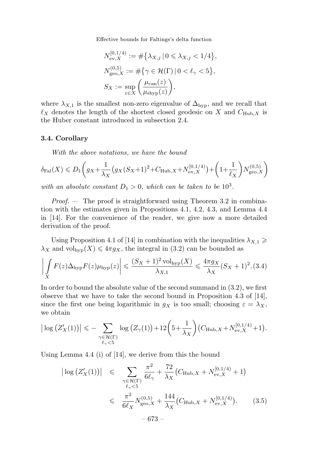$$
N_{\text{ev},X}^{[0,1/4)} := \#\{\lambda_{X,j} | 0 \le \lambda_{X,j} < 1/4\},\newline N_{\text{geo},X}^{(0,5)} := \#\{\gamma \in \mathcal{H}(\Gamma) | 0 < \ell_{\gamma} < 5\},\newline S_X := \sup_{z \in X} \left(\frac{\mu_{\text{can}}(z)}{\mu_{\text{shyp}}(z)}\right),\newline
$$

where  $\lambda_{X,1}$  is the smallest non-zero eigenvalue of  $\Delta_{\text{hvp}}$ , and we recall that  $\ell_X$  denotes the length of the shortest closed geodesic on X and  $C_{\text{Hub.}X}$  is the Huber constant introduced in subsection 2.4.

# 3.4. Corollary

With the above notations, we have the bound

$$
\delta_{\text{Fal}}(X) \le D_1\left(g_X + \frac{1}{\lambda_X}\left(g_X\left(S_X + 1\right)^2 + C_{\text{Hub},X} + N_{\text{ev},X}^{\left[0,1/4\right)}\right) + \left(1 + \frac{1}{\ell_X}\right)N_{\text{geo},X}^{\left(0,5\right)}\right)
$$

with an absolute constant  $D_1 > 0$ , which can be taken to be  $10^3$ .

*Proof.*  $\longrightarrow$  The proof is straightforward using Theorem 3.2 in combination with the estimates given in Propositions 4.1, 4.2, 4.3, and Lemma 4.4 in  $[14]$ . For the convenience of the reader, we give now a more detailed derivation of the proof.

Using Proposition 4.1 of [14] in combination with the inequalities  $\lambda_{X,1} \geq$  $\lambda_X$  and vol<sub>hyp</sub> $(X) \leq 4\pi g_X$ , the integral in (3.2) can be bounded as

$$
\left| \int\limits_X F(z) \Delta_{\text{hyp}} F(z) \mu_{\text{hyp}}(z) \right| \leqslant \frac{(S_X + 1)^2 \operatorname{vol}_{\text{hyp}}(X)}{\lambda_{X,1}} \leqslant \frac{4\pi g_X}{\lambda_X} (S_X + 1)^2. \tag{3.4}
$$

In order to bound the absolute value of the second summand in (3.2), we first observe that we have to take the second bound in Proposition 4.3 of [14], since the first one being logarithmic in  $g_X$  is too small; choosing  $\varepsilon = \lambda_X$ , we obtain

$$
\left| \log \left( Z_X'(1) \right) \right| \leq - \sum_{\substack{\gamma \in \mathcal{H}(\Gamma) \\ \ell_{\gamma} < 5}} \log \left( Z_{\gamma}(1) \right) + 12 \left( 5 + \frac{1}{\lambda_X} \right) \left( C_{\text{Hub},X} + N_{\text{ev},X}^{[0,1/4]} + 1 \right).
$$

Using Lemma 4.4 (i) of [14], we derive from this the bound

$$
\left| \log \left( Z'_X(1) \right) \right| \leq \sum_{\substack{\gamma \in \mathcal{H}(\Gamma) \\ \ell_{\gamma} < 5}} \frac{\pi^2}{6\ell_{\gamma}} + \frac{72}{\lambda_X} \left( C_{\text{Hub},X} + N_{\text{ev},X}^{[0,1/4]} + 1 \right) \\
\leq \frac{\pi^2}{6\ell_X} N_{\text{geo},X}^{(0,5)} + \frac{144}{\lambda_X} \left( C_{\text{Hub},X} + N_{\text{ev},X}^{[0,1/4]} \right). \tag{3.5}
$$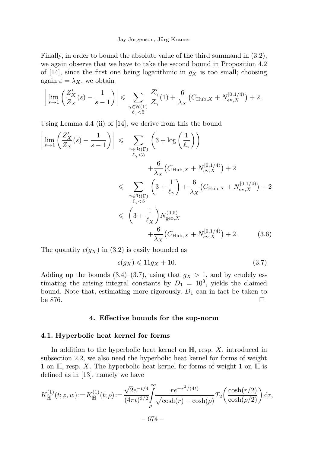Finally, in order to bound the absolute value of the third summand in (3.2), we again observe that we have to take the second bound in Proposition 4.2 of [14], since the first one being logarithmic in  $q<sub>X</sub>$  is too small; choosing again  $\varepsilon = \lambda_X$ , we obtain

$$
\left|\lim_{s\to 1}\left(\frac{Z'_X}{Z_X}(s)-\frac{1}{s-1}\right)\right|\leqslant \sum_{\substack{\gamma\in\mathcal{H}(\Gamma)\\ \ell_\gamma<5}}\frac{Z'_\gamma}{Z_\gamma}(1)+\frac{6}{\lambda_X}\big(C_{\text{Hub},X}+N_{\text{ev},X}^{[0,1/4)}\big)+2\,.
$$

Using Lemma 4.4 (ii) of [14], we derive from this the bound

$$
\left| \lim_{s \to 1} \left( \frac{Z'_X}{Z_X}(s) - \frac{1}{s - 1} \right) \right| \leq \sum_{\substack{\gamma \in \mathcal{H}(\Gamma) \\ \ell_{\gamma} < 5}} \left( 3 + \log \left( \frac{1}{\ell_{\gamma}} \right) \right) \n+ \frac{6}{\lambda_X} \left( C_{\text{Hub}, X} + N_{\text{ev}, X}^{[0,1/4)} \right) + 2 \n\leq \sum_{\substack{\gamma \in \mathcal{H}(\Gamma) \\ \ell_{\gamma} < 5}} \left( 3 + \frac{1}{\ell_{\gamma}} \right) + \frac{6}{\lambda_X} \left( C_{\text{Hub}, X} + N_{\text{ev}, X}^{[0,1/4)} \right) + 2 \n\leq \left( 3 + \frac{1}{\ell_X} \right) N_{\text{geo}, X}^{(0,5)} \n+ \frac{6}{\lambda_X} \left( C_{\text{Hub}, X} + N_{\text{ev}, X}^{[0,1/4)} \right) + 2. \tag{3.6}
$$

The quantity  $c(g_X)$  in (3.2) is easily bounded as

$$
c(g_X) \leqslant 11g_X + 10. \tag{3.7}
$$

Adding up the bounds (3.4)–(3.7), using that  $g_X > 1$ , and by crudely estimating the arising integral constants by  $D_1 = 10^3$ , yields the claimed bound. Note that, estimating more rigorously,  $D_1$  can in fact be taken to be 876.  $\Box$ 

#### 4. Effective bounds for the sup-norm

#### 4.1. Hyperbolic heat kernel for forms

In addition to the hyperbolic heat kernel on  $\mathbb{H}$ , resp. X, introduced in subsection 2.2, we also need the hyperbolic heat kernel for forms of weight 1 on  $\mathbb H$ , resp. X. The hyperbolic heat kernel for forms of weight 1 on  $\mathbb H$  is defined as in [13], namely we have

$$
K_{\mathbb{H}}^{(1)}(t; z, w) := K_{\mathbb{H}}^{(1)}(t; \rho) := \frac{\sqrt{2}e^{-t/4}}{(4\pi t)^{3/2}} \int_{\rho}^{\infty} \frac{re^{-r^2/(4t)}}{\sqrt{\cosh(r) - \cosh(\rho)}} T_2\left(\frac{\cosh(r/2)}{\cosh(\rho/2)}\right) dr,
$$
  
- 674 -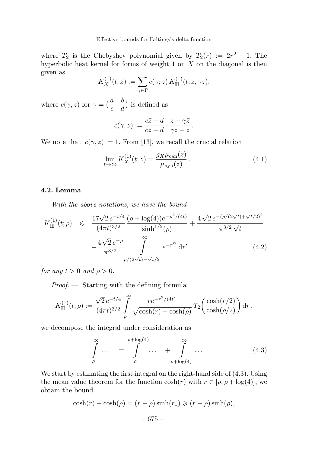where  $T_2$  is the Chebyshev polynomial given by  $T_2(r) := 2r^2 - 1$ . The hyperbolic heat kernel for forms of weight 1 on  $X$  on the diagonal is then given as

$$
K_X^{(1)}(t;z) := \sum_{\gamma \in \Gamma} c(\gamma;z) K_{\mathbb{H}}^{(1)}(t;z,\gamma z),
$$

where  $c(\gamma, z)$  for  $\gamma = \begin{pmatrix} a & b \\ c & d \end{pmatrix}$  is defined as

$$
c(\gamma, z) := \frac{c\overline{z} + d}{cz + d} \cdot \frac{z - \gamma \overline{z}}{\gamma z - \overline{z}}.
$$

We note that  $|c(\gamma, z)| = 1$ . From [13], we recall the crucial relation

$$
\lim_{t \to \infty} K_X^{(1)}(t; z) = \frac{g_X \mu_{\text{can}}(z)}{\mu_{\text{hyp}}(z)}.
$$
\n(4.1)

# 4.2. Lemma

With the above notations, we have the bound

$$
K_{\mathbb{H}}^{(1)}(t;\rho) \leq \frac{17\sqrt{2}e^{-t/4}}{(4\pi t)^{3/2}}\frac{(\rho + \log(4))e^{-\rho^2/(4t)}}{\sinh^{1/2}(\rho)} + \frac{4\sqrt{2}e^{-(\rho/(2\sqrt{t}) + \sqrt{t}/2)^2}}{\pi^{3/2}\sqrt{t}} + \frac{4\sqrt{2}e^{-\rho}}{\pi^{3/2}}\int_{\rho/(2\sqrt{t})-\sqrt{t}/2}^{\infty} e^{-r'^2} dr' \qquad (4.2)
$$

for any  $t > 0$  and  $\rho > 0$ .

Proof. — Starting with the defining formula

$$
K_{\mathbb{H}}^{(1)}(t;\rho) := \frac{\sqrt{2} e^{-t/4}}{(4\pi t)^{3/2}} \int\limits_{\rho}^{\infty} \frac{re^{-r^2/(4t)}}{\sqrt{\cosh(r) - \cosh(\rho)}} T_2\left(\frac{\cosh(r/2)}{\cosh(\rho/2)}\right) dr,
$$

we decompose the integral under consideration as

$$
\int_{\rho}^{\infty} \dots = \int_{\rho}^{\rho + \log(4)} \dots + \int_{\rho + \log(4)}^{\infty} \dots \tag{4.3}
$$

We start by estimating the first integral on the right-hand side of (4.3). Using the mean value theorem for the function  $\cosh(r)$  with  $r \in [\rho, \rho + \log(4)]$ , we obtain the bound

$$
\cosh(r) - \cosh(\rho) = (r - \rho)\sinh(r_*) \ge (r - \rho)\sinh(\rho),
$$
  
- 675 -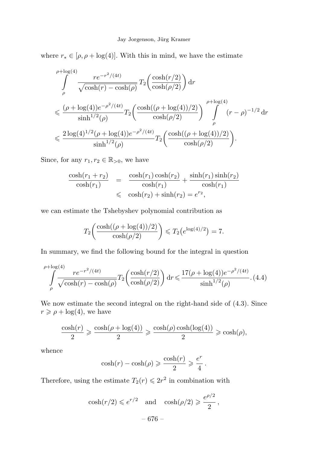where  $r_* \in [\rho, \rho + \log(4)]$ . With this in mind, we have the estimate

$$
\int_{\rho}^{\rho + \log(4)} \frac{r e^{-r^2/(4t)}}{\sqrt{\cosh(r) - \cosh(\rho)}} \, T_2\left(\frac{\cosh(r/2)}{\cosh(\rho/2)}\right) \, dr
$$
\n
$$
\leqslant \frac{(\rho + \log(4))e^{-\rho^2/(4t)}}{\sinh^{1/2}(\rho)} T_2\left(\frac{\cosh((\rho + \log(4))/2)}{\cosh(\rho/2)}\right) \int_{\rho}^{\rho + \log(4)} (r - \rho)^{-1/2} \, dr
$$
\n
$$
\leqslant \frac{2\log(4)^{1/2}(\rho + \log(4))e^{-\rho^2/(4t)}}{\sinh^{1/2}(\rho)} T_2\left(\frac{\cosh((\rho + \log(4))/2)}{\cosh(\rho/2)}\right).
$$

Since, for any  $r_1, r_2 \in \mathbb{R}_{>0}$ , we have

$$
\frac{\cosh(r_1 + r_2)}{\cosh(r_1)} = \frac{\cosh(r_1)\cosh(r_2)}{\cosh(r_1)} + \frac{\sinh(r_1)\sinh(r_2)}{\cosh(r_1)}
$$
  

$$
\leq \cosh(r_2) + \sinh(r_2) = e^{r_2},
$$

we can estimate the Tshebyshev polynomial contribution as

$$
T_2\left(\frac{\cosh((\rho + \log(4))/2)}{\cosh(\rho/2)}\right) \leq T_2\left(e^{\log(4)/2}\right) = 7.
$$

In summary, we find the following bound for the integral in question

$$
\int_{\rho}^{\rho + \log(4)} \frac{re^{-r^2/(4t)}}{\sqrt{\cosh(r) - \cosh(\rho)}} T_2\left(\frac{\cosh(r/2)}{\cosh(\rho/2)}\right) dr \leq \frac{17(\rho + \log(4))e^{-\rho^2/(4t)}}{\sinh^{1/2}(\rho)}.\tag{4.4}
$$

We now estimate the second integral on the right-hand side of (4.3). Since  $r \geqslant \rho + \log(4)$ , we have

$$
\frac{\cosh(r)}{2} \geqslant \frac{\cosh(\rho + \log(4))}{2} \geqslant \frac{\cosh(\rho)\cosh(\log(4))}{2} \geqslant \cosh(\rho),
$$

whence

$$
\cosh(r) - \cosh(\rho) \geqslant \frac{\cosh(r)}{2} \geqslant \frac{e^r}{4}.
$$

Therefore, using the estimate  $T_2(r)\leqslant 2r^2$  in combination with

$$
\cosh(r/2) \leqslant e^{r/2} \quad \text{and} \quad \cosh(\rho/2) \geqslant \frac{e^{\rho/2}}{2},
$$
  
- 676 -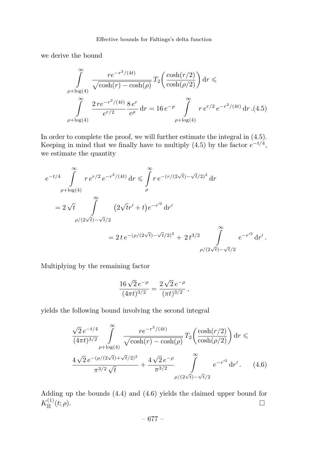we derive the bound

$$
\int_{\rho + \log(4)}^{\infty} \frac{re^{-r^2/(4t)}}{\sqrt{\cosh(r) - \cosh(\rho)}} T_2 \left( \frac{\cosh(r/2)}{\cosh(\rho/2)} \right) dr \le
$$

$$
\int_{\rho + \log(4)}^{\infty} \frac{2re^{-r^2/(4t)}}{e^{r/2}} \frac{8 e^r}{e^{\rho}} dr = 16 e^{-\rho} \int_{\rho + \log(4)}^{\infty} r e^{r/2} e^{-r^2/(4t)} dr . (4.5)
$$

In order to complete the proof, we will further estimate the integral in (4.5). Keeping in mind that we finally have to multiply (4.5) by the factor  $e^{-t/4}$ , we estimate the quantity

$$
e^{-t/4} \int_{\rho + \log(4)}^{\infty} r e^{r/2} e^{-r^2/(4t)} dr \leq \int_{\rho}^{\infty} r e^{-(r/(2\sqrt{t}) - \sqrt{t}/2)^2} dr
$$
  
=  $2\sqrt{t} \int_{\rho/(2\sqrt{t}) - \sqrt{t}/2}^{\infty} (2\sqrt{t}r' + t) e^{-r'^2} dr'$   
=  $2t e^{-(\rho/(2\sqrt{t}) - \sqrt{t}/2)^2} + 2t^{3/2} \int_{\rho/(2\sqrt{t}) - \sqrt{t}/2}^{\infty} e^{-r'^2} dr'.$ 

Multiplying by the remaining factor

$$
\frac{16\sqrt{2}e^{-\rho}}{(4\pi t)^{3/2}} = \frac{2\sqrt{2}e^{-\rho}}{(\pi t)^{3/2}},
$$

yields the following bound involving the second integral

$$
\frac{\sqrt{2}e^{-t/4}}{(4\pi t)^{3/2}} \int_{\rho+\log(4)}^{\infty} \frac{re^{-r^2/(4t)}}{\sqrt{\cosh(r) - \cosh(\rho)}} T_2\left(\frac{\cosh(r/2)}{\cosh(\rho/2)}\right) dr \leq \frac{4\sqrt{2}e^{-(\rho/(2\sqrt{t})+\sqrt{t}/2)^2}}{\pi^{3/2}\sqrt{t}} + \frac{4\sqrt{2}e^{-\rho}}{\pi^{3/2}} \int_{\rho/(2\sqrt{t})-\sqrt{t}/2}^{\infty} e^{-r'^2} dr'.
$$
 (4.6)

Adding up the bounds (4.4) and (4.6) yields the claimed upper bound for  $K_{\mathbb{H}}^{(1)}(t;\rho).$  $\mathbb{H}^{(1)}(t;\rho).$  $\Box$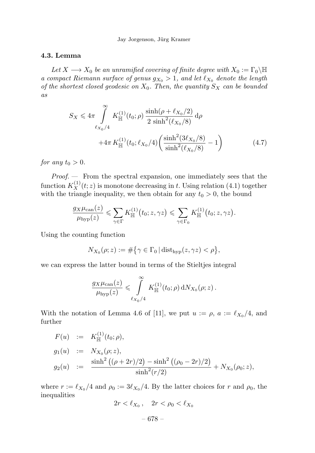# 4.3. Lemma

Let  $X \longrightarrow X_0$  be an unramified covering of finite degree with  $X_0 := \Gamma_0 \backslash \mathbb{H}$ a compact Riemann surface of genus  $g_{X_0} > 1$ , and let  $\ell_{X_0}$  denote the length of the shortest closed geodesic on  $X_0$ . Then, the quantity  $S_X$  can be bounded as

$$
S_X \leq 4\pi \int_{\ell_{X_0}/4}^{\infty} K_{\mathbb{H}}^{(1)}(t_0; \rho) \frac{\sinh(\rho + \ell_{X_0}/2)}{2 \sinh^2(\ell_{X_0}/8)} d\rho
$$
  
+4\pi K\_{\mathbb{H}}^{(1)}(t\_0; \ell\_{X\_0}/4) \left( \frac{\sinh^2(3\ell\_{X\_0}/8)}{\sinh^2(\ell\_{X\_0}/8)} - 1 \right) (4.7)

for any  $t_0 > 0$ .

Proof. — From the spectral expansion, one immediately sees that the function  $K_X^{(1)}(t; z)$  is monotone decreasing in t. Using relation (4.1) together with the triangle inequality, we then obtain for any  $t_0 > 0$ , the bound

$$
\frac{g_X\mu_{\text{can}}(z)}{\mu_{\text{hyp}}(z)} \leqslant \sum_{\gamma \in \Gamma} K_{\mathbb{H}}^{(1)}(t_0; z, \gamma z) \leqslant \sum_{\gamma \in \Gamma_0} K_{\mathbb{H}}^{(1)}(t_0; z, \gamma z).
$$

Using the counting function

$$
N_{X_0}(\rho; z) := \#\big\{\gamma \in \Gamma_0 \,|\, \text{dist}_{\text{hyp}}(z, \gamma z) < \rho\big\},\
$$

we can express the latter bound in terms of the Stieltjes integral

$$
\frac{g_X\mu_{\text{can}}(z)}{\mu_{\text{hyp}}(z)} \leqslant \int\limits_{\ell_{X_0}/4}^{\infty} K_{\mathbb{H}}^{(1)}(t_0;\rho) dN_{X_0}(\rho;z).
$$

With the notation of Lemma 4.6 of [11], we put  $u := \rho$ ,  $a := \ell_{X_0}/4$ , and further

$$
F(u) := K_{\mathbb{H}}^{(1)}(t_0; \rho),
$$
  
\n
$$
g_1(u) := N_{X_0}(\rho; z),
$$
  
\n
$$
g_2(u) := \frac{\sinh^2((\rho + 2r)/2) - \sinh^2((\rho_0 - 2r)/2)}{\sinh^2(r/2)} + N_{X_0}(\rho_0; z),
$$

where  $r := \ell_{X_0}/4$  and  $\rho_0 := 3\ell_{X_0}/4$ . By the latter choices for r and  $\rho_0$ , the inequalities

$$
2r < \ell_{X_0}, \quad 2r < \rho_0 < \ell_{X_0}
$$

$$
- 678 -
$$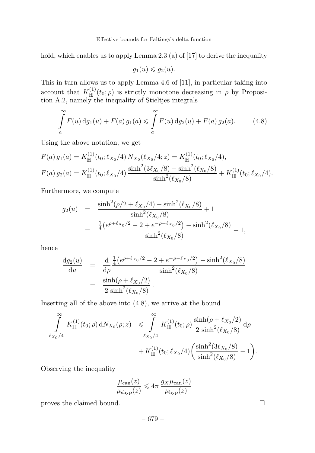hold, which enables us to apply Lemma 2.3 (a) of [17] to derive the inequality

$$
g_1(u) \leqslant g_2(u).
$$

This in turn allows us to apply Lemma 4.6 of [11], in particular taking into account that  $K_{\mathbb{H}}^{(1)}(t_0;\rho)$  is strictly monotone decreasing in  $\rho$  by Proposition A.2, namely the inequality of Stieltjes integrals

$$
\int_{a}^{\infty} F(u) \, dg_1(u) + F(a) \, g_1(a) \leq \int_{a}^{\infty} F(u) \, dg_2(u) + F(a) \, g_2(a). \tag{4.8}
$$

Using the above notation, we get

$$
F(a) g_1(a) = K_{\mathbb{H}}^{(1)}(t_0; \ell_{X_0}/4) N_{X_0}(\ell_{X_0}/4; z) = K_{\mathbb{H}}^{(1)}(t_0; \ell_{X_0}/4),
$$
  
\n
$$
F(a) g_2(a) = K_{\mathbb{H}}^{(1)}(t_0; \ell_{X_0}/4) \frac{\sinh^2(3\ell_{X_0}/8) - \sinh^2(\ell_{X_0}/8)}{\sinh^2(\ell_{X_0}/8)} + K_{\mathbb{H}}^{(1)}(t_0; \ell_{X_0}/4).
$$

Furthermore, we compute

$$
g_2(u) = \frac{\sinh^2(\rho/2 + \ell_{X_0}/4) - \sinh^2(\ell_{X_0}/8)}{\sinh^2(\ell_{X_0}/8)} + 1
$$
  
= 
$$
\frac{\frac{1}{4}(e^{\rho + \ell_{X_0}/2} - 2 + e^{-\rho - \ell_{X_0}/2}) - \sinh^2(\ell_{X_0}/8)}{\sinh^2(\ell_{X_0}/8)} + 1,
$$

hence

$$
\frac{dg_2(u)}{du} = \frac{d}{d\rho} \frac{\frac{1}{4} \left( e^{\rho + \ell_{X_0}/2} - 2 + e^{-\rho - \ell_{X_0}/2} \right) - \sinh^2(\ell_{X_0}/8)}{\sinh^2(\ell_{X_0}/8)}
$$
\n
$$
= \frac{\sinh(\rho + \ell_{X_0}/2)}{2 \sinh^2(\ell_{X_0}/8)}.
$$

Inserting all of the above into (4.8), we arrive at the bound

$$
\int_{\ell_{X_0}/4}^{\infty} K_{\mathbb{H}}^{(1)}(t_0;\rho) dN_{X_0}(\rho;z) \leq \int_{\ell_{X_0}/4}^{\infty} K_{\mathbb{H}}^{(1)}(t_0;\rho) \frac{\sinh(\rho + \ell_{X_0}/2)}{2 \sinh^2(\ell_{X_0}/8)} d\rho + K_{\mathbb{H}}^{(1)}(t_0; \ell_{X_0}/4) \left( \frac{\sinh^2(3\ell_{X_0}/8)}{\sinh^2(\ell_{X_0}/8)} - 1 \right).
$$

Observing the inequality

$$
\frac{\mu_{\text{can}}(z)}{\mu_{\text{shyp}}(z)} \leq 4\pi \frac{g_X \mu_{\text{can}}(z)}{\mu_{\text{hyp}}(z)}
$$

proves the claimed bound.

 $\Box$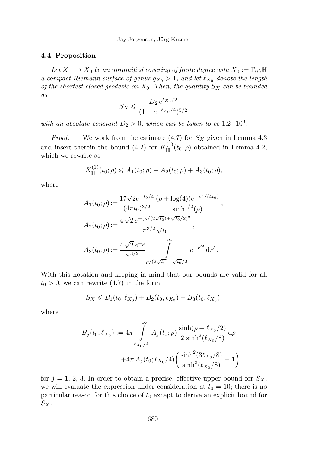Jay Jorgenson, Jürg Kramer

# 4.4. Proposition

Let  $X \longrightarrow X_0$  be an unramified covering of finite degree with  $X_0 := \Gamma_0 \backslash \mathbb{H}$ a compact Riemann surface of genus  $g_{X_0} > 1$ , and let  $\ell_{X_0}$  denote the length of the shortest closed geodesic on  $X_0$ . Then, the quantity  $S_X$  can be bounded as

$$
S_X \leq \frac{D_2 e^{\ell x_0/2}}{(1 - e^{-\ell x_0/4})^{5/2}}
$$

with an absolute constant  $D_2 > 0$ , which can be taken to be  $1.2 \cdot 10^3$ .

*Proof.* — We work from the estimate  $(4.7)$  for  $S_X$  given in Lemma 4.3 and insert therein the bound (4.2) for  $K_{\mathbb{H}}^{(1)}(t_0;\rho)$  obtained in Lemma 4.2, which we rewrite as

$$
K_{\mathbb{H}}^{(1)}(t_0;\rho) \leqslant A_1(t_0;\rho) + A_2(t_0;\rho) + A_3(t_0;\rho),
$$

where

$$
A_1(t_0; \rho) := \frac{17\sqrt{2}e^{-t_0/4}}{(4\pi t_0)^{3/2}} \frac{(\rho + \log(4))e^{-\rho^2/(4t_0)}}{\sinh^{1/2}(\rho)},
$$
  
\n
$$
A_2(t_0; \rho) := \frac{4\sqrt{2}e^{-(\rho/(2\sqrt{t_0}) + \sqrt{t_0}/2)^2}}{\pi^{3/2}\sqrt{t_0}},
$$
  
\n
$$
A_3(t_0; \rho) := \frac{4\sqrt{2}e^{-\rho}}{\pi^{3/2}} \int_{\rho/(2\sqrt{t_0}) - \sqrt{t_0}/2}^{\infty} e^{-r'^2} dr'.
$$

With this notation and keeping in mind that our bounds are valid for all  $t_0 > 0$ , we can rewrite  $(4.7)$  in the form

$$
S_X \leq B_1(t_0; \ell_{X_0}) + B_2(t_0; \ell_{X_0}) + B_3(t_0; \ell_{X_0}),
$$

where

$$
B_j(t_0; \ell_{X_0}) := 4\pi \int_{\ell_{X_0}/4}^{\infty} A_j(t_0; \rho) \frac{\sinh(\rho + \ell_{X_0}/2)}{2 \sinh^2(\ell_{X_0}/8)} d\rho
$$

$$
+ 4\pi A_j(t_0; \ell_{X_0}/4) \left( \frac{\sinh^2(3\ell_{X_0}/8)}{\sinh^2(\ell_{X_0}/8)} - 1 \right)
$$

for  $j = 1, 2, 3$ . In order to obtain a precise, effective upper bound for  $S_X$ , we will evaluate the expression under consideration at  $t_0 = 10$ ; there is no particular reason for this choice of  $t_0$  except to derive an explicit bound for  $S_X$ .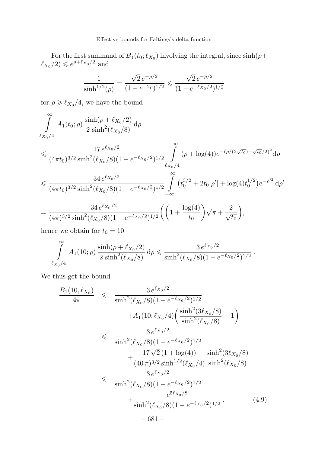For the first summand of  $B_1(t_0;\ell_{X_0})$  involving the integral, since  $\sinh(\rho +$  $\ell_{X_0}/2) \leqslant e^{\rho+\ell_{X_0}/2}$  and

$$
\frac{1}{\sinh^{1/2}(\rho)} = \frac{\sqrt{2}e^{-\rho/2}}{(1 - e^{-2\rho})^{1/2}} \leq \frac{\sqrt{2}e^{-\rho/2}}{(1 - e^{-\ell x_0/2})^{1/2}}
$$

for  $\rho \geq \ell_{X_0}/4$ , we have the bound

$$
\int_{\ell_{X_0}/4}^{\infty} A_1(t_0; \rho) \frac{\sinh(\rho + \ell_{X_0}/2)}{2 \sinh^2(\ell_{X_0}/8)} d\rho
$$
\n
$$
\leq \frac{17 e^{\ell_{X_0}/2}}{(4\pi t_0)^{3/2} \sinh^2(\ell_{X_0}/8)(1 - e^{-\ell_{X_0}/2})^{1/2}} \int_{\ell_{X_0}/4}^{\infty} (\rho + \log(4)) e^{-(\rho/(2\sqrt{t_0}) - \sqrt{t_0}/2)^2} d\rho
$$
\n
$$
\leq \frac{34 e^{\ell_{X_0}/2}}{(4\pi t_0)^{3/2} \sinh^2(\ell_{X_0}/8)(1 - e^{-\ell_{X_0}/2})^{1/2}} \int_{-\infty}^{\infty} (t_0^{3/2} + 2t_0 |\rho'| + \log(4) t_0^{1/2}) e^{-\rho'^2} d\rho'
$$
\n
$$
= \frac{34 e^{\ell_{X_0}/2}}{(4\pi)^{3/2} \sinh^2(\ell_{X_0}/8)(1 - e^{-\ell_{X_0}/2})^{1/2}} \left( \left(1 + \frac{\log(4)}{t_0}\right) \sqrt{\pi} + \frac{2}{\sqrt{t_0}} \right),
$$

hence we obtain for  $t_0 = 10$ 

$$
\int_{\ell_{X_0}/4}^{\infty} A_1(10;\rho) \frac{\sinh(\rho + \ell_{X_0}/2)}{2 \sinh^2(\ell_{X_0}/8)} d\rho \leqslant \frac{3 e^{\ell_{X_0}/2}}{\sinh^2(\ell_{X_0}/8)(1 - e^{-\ell_{X_0}/2})^{1/2}}.
$$

We thus get the bound

$$
\frac{B_1(10,\ell_{X_0})}{4\pi} \leq \frac{3 e^{\ell_{X_0}/2}}{\sinh^2(\ell_{X_0}/8)(1 - e^{-\ell_{X_0}/2})^{1/2}} \n+ A_1(10; \ell_{X_0}/4) \left(\frac{\sinh^2(3\ell_{X_0}/8)}{\sinh^2(\ell_{X_0}/8)} - 1\right) \n\leq \frac{3 e^{\ell_{X_0}/2}}{\sinh^2(\ell_{X_0}/8)(1 - e^{-\ell_{X_0}/2})^{1/2}} \n+ \frac{17\sqrt{2}(1 + \log(4))}{(40\pi)^{3/2}\sinh^{1/2}(\ell_{X_0}/4)} \frac{\sinh^2(3\ell_{X_0}/8)}{\sinh^2(\ell_{X_0}/8)} \n\leq \frac{3 e^{\ell_{X_0}/2}}{\sinh^2(\ell_{X_0}/8)(1 - e^{-\ell_{X_0}/2})^{1/2}} \n+ \frac{e^{5\ell_{X_0}/8}}{\sinh^2(\ell_{X_0}/8)(1 - e^{-\ell_{X_0}/2})^{1/2}}.
$$
\n(4.9)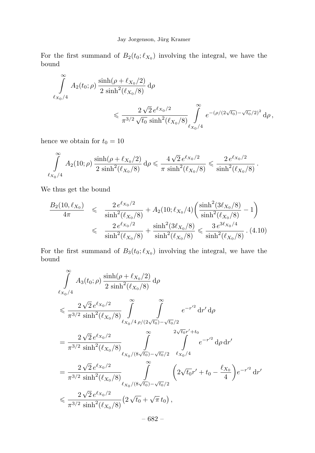For the first summand of  $B_2(t_0;\ell_{X_0})$  involving the integral, we have the bound

$$
\int_{\ell_{X_0}/4}^{\infty} A_2(t_0; \rho) \frac{\sinh(\rho + \ell_{X_0}/2)}{2 \sinh^2(\ell_{X_0}/8)} d\rho
$$
  
\$\leq \frac{2\sqrt{2} e^{\ell\_{X\_0}/2}}{\pi^{3/2} \sqrt{t\_0} \sinh^2(\ell\_{X\_0}/8)} \int\_{\ell\_{X\_0}/4}^{\infty} e^{-(\rho/(2\sqrt{t\_0}) - \sqrt{t\_0}/2)^2} d\rho\$,

hence we obtain for  $t_0 = 10$ 

$$
\int\limits_{\ell x_0/4}^{\infty} A_2(10;\rho)\, \frac{\sinh(\rho+\ell_{X_0}/2)}{2\, \sinh^2(\ell_{X_0}/8)}\,d\rho \leqslant \frac{4\,\sqrt{2}\,e^{\ell x_0/2}}{\pi\,\sinh^2(\ell_{X_0}/8)} \leqslant \frac{2\,e^{\ell x_0/2}}{\sinh^2(\ell_{X_0}/8)}\,.
$$

We thus get the bound

$$
\frac{B_2(10, \ell_{X_0})}{4\pi} \leq \frac{2 e^{\ell_{X_0}/2}}{\sinh^2(\ell_{X_0}/8)} + A_2(10; \ell_{X_0}/4) \left(\frac{\sinh^2(3\ell_{X_0}/8)}{\sinh^2(\ell_{X_0}/8)} - 1\right)
$$
  

$$
\leq \frac{2 e^{\ell_{X_0}/2}}{\sinh^2(\ell_{X_0}/8)} + \frac{\sinh^2(3\ell_{X_0}/8)}{\sinh^2(\ell_{X_0}/8)} \leq \frac{3 e^{3\ell_{X_0}/4}}{\sinh^2(\ell_{X_0}/8)} . (4.10)
$$

For the first summand of  $B_3(t_0;\ell_{X_0})$  involving the integral, we have the bound

$$
\int_{\ell_{X_0}/4}^{\infty} A_3(t_0; \rho) \frac{\sinh(\rho + \ell_{X_0}/2)}{2 \sinh^2(\ell_{X_0}/8)} d\rho
$$
\n
$$
\leq \frac{2\sqrt{2} e^{\ell_{X_0}/2}}{\pi^{3/2} \sinh^2(\ell_{X_0}/8)} \int_{\ell_{X_0}/4}^{\infty} \int_{\rho/(2\sqrt{t_0})-\sqrt{t_0}/2}^{\infty} e^{-r'^2} dr' d\rho
$$
\n
$$
= \frac{2\sqrt{2} e^{\ell_{X_0}/2}}{\pi^{3/2} \sinh^2(\ell_{X_0}/8)} \int_{\ell_{X_0}/(8\sqrt{t_0})-\sqrt{t_0}/2}^{\infty} \int_{\ell_{X_0}/4}^{2\sqrt{t_0}r' + t_0} e^{-r'^2} d\rho dr'
$$
\n
$$
= \frac{2\sqrt{2} e^{\ell_{X_0}/2}}{\pi^{3/2} \sinh^2(\ell_{X_0}/8)} \int_{\ell_{X_0}/(8\sqrt{t_0})-\sqrt{t_0}/2}^{\infty} (\frac{2\sqrt{t_0}r' + t_0 - \frac{\ell_{X_0}}{4})}{4} e^{-r'^2} dr'
$$
\n
$$
\leq \frac{2\sqrt{2} e^{\ell_{X_0}/2}}{\pi^{3/2} \sinh^2(\ell_{X_0}/8)} (2\sqrt{t_0} + \sqrt{\pi} t_0),
$$
\n
$$
-682 -
$$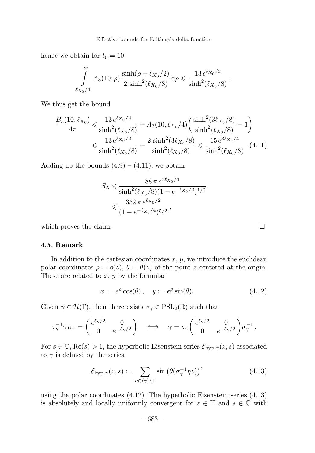hence we obtain for  $t_0 = 10$ 

$$
\int_{\ell_{X_0}/4}^{\infty} A_3(10;\rho) \frac{\sinh(\rho + \ell_{X_0}/2)}{2 \sinh^2(\ell_{X_0}/8)} d\rho \leqslant \frac{13 e^{\ell_{X_0}/2}}{\sinh^2(\ell_{X_0}/8)}.
$$

We thus get the bound

$$
\frac{B_3(10, \ell_{X_0})}{4\pi} \leq \frac{13 e^{\ell_{X_0}/2}}{\sinh^2(\ell_{X_0}/8)} + A_3(10; \ell_{X_0}/4) \left(\frac{\sinh^2(3\ell_{X_0}/8)}{\sinh^2(\ell_{X_0}/8)} - 1\right)
$$
  

$$
\leq \frac{13 e^{\ell_{X_0}/2}}{\sinh^2(\ell_{X_0}/8)} + \frac{2 \sinh^2(3\ell_{X_0}/8)}{\sinh^2(\ell_{X_0}/8)} \leq \frac{15 e^{3\ell_{X_0}/4}}{\sinh^2(\ell_{X_0}/8)} . (4.11)
$$

Adding up the bounds  $(4.9) - (4.11)$ , we obtain

$$
S_X \leq \frac{88 \pi e^{3\ell x_0/4}}{\sinh^2(\ell x_0/8)(1 - e^{-\ell x_0/2})^{1/2}}
$$
  

$$
\leq \frac{352 \pi e^{\ell x_0/2}}{(1 - e^{-\ell x_0/4})^{5/2}},
$$

which proves the claim.

# 4.5. Remark

In addition to the cartesian coordinates  $x, y$ , we introduce the euclidean polar coordinates  $\rho = \rho(z)$ ,  $\theta = \theta(z)$  of the point z centered at the origin. These are related to  $x, y$  by the formulae

$$
x := e^{\rho} \cos(\theta), \quad y := e^{\rho} \sin(\theta). \tag{4.12}
$$

 $\Box$ 

Given  $\gamma \in \mathcal{H}(\Gamma)$ , then there exists  $\sigma_{\gamma} \in \mathrm{PSL}_2(\mathbb{R})$  such that

$$
\sigma_\gamma^{-1} \gamma \, \sigma_\gamma = \begin{pmatrix} e^{\ell_\gamma/2} & 0 \\ 0 & e^{-\ell_\gamma/2} \end{pmatrix} \quad \Longleftrightarrow \quad \gamma = \sigma_\gamma \begin{pmatrix} e^{\ell_\gamma/2} & 0 \\ 0 & e^{-\ell_\gamma/2} \end{pmatrix} \sigma_\gamma^{-1} \, .
$$

For  $s \in \mathbb{C}$ , Re $(s) > 1$ , the hyperbolic Eisenstein series  $\mathcal{E}_{\text{hyp},\gamma}(z, s)$  associated to  $\gamma$  is defined by the series

$$
\mathcal{E}_{\text{hyp},\gamma}(z,s) := \sum_{\eta \in \langle \gamma \rangle \backslash \Gamma} \sin \left( \theta(\sigma_{\gamma}^{-1} \eta z) \right)^s \tag{4.13}
$$

using the polar coordinates (4.12). The hyperbolic Eisenstein series (4.13) is absolutely and locally uniformly convergent for  $z \in \mathbb{H}$  and  $s \in \mathbb{C}$  with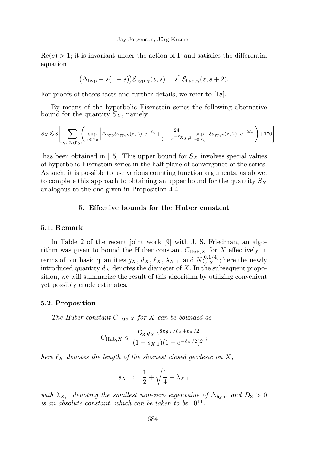$Re(s) > 1$ ; it is invariant under the action of  $\Gamma$  and satisfies the differential equation

$$
\left(\Delta_{\mathrm{hyp}} - s(1-s)\right)\mathcal{E}_{\mathrm{hyp},\gamma}(z,s) = s^2 \,\mathcal{E}_{\mathrm{hyp},\gamma}(z,s+2).
$$

For proofs of theses facts and further details, we refer to [18].

By means of the hyperbolic Eisenstein series the following alternative bound for the quantity  $S_X$ , namely

$$
S_X\leqslant 8\Bigg[\sum_{\gamma\in\mathcal{H}(\Gamma_0)}\Bigg(\sup_{z\in X_0}\bigg|\Delta_{\mathrm{hyp}}\mathcal{E}_{\mathrm{hyp},\gamma}(z,2)\bigg|e^{-\ell\gamma}+\frac{24}{(1-e^{-\ell}X_0\,)^3}\sup_{z\in X_0}\bigg|\mathcal{E}_{\mathrm{hyp},\gamma}(z,2)\bigg|\,e^{-2\ell\gamma}\Bigg)+170\Bigg],
$$

has been obtained in [15]. This upper bound for  $S_X$  involves special values of hyperbolic Eisenstein series in the half-plane of convergence of the series. As such, it is possible to use various counting function arguments, as above, to complete this approach to obtaining an upper bound for the quantity  $S_X$ analogous to the one given in Proposition 4.4.

# 5. Effective bounds for the Huber constant

#### 5.1. Remark

In Table 2 of the recent joint work [9] with J. S. Friedman, an algorithm was given to bound the Huber constant  $C_{\text{Hub},X}$  for X effectively in terms of our basic quantities  $g_X$ ,  $d_X$ ,  $\ell_X$ ,  $\lambda_{X,1}$ , and  $N_{\text{ev},X}^{[0,1/4)}$ ; here the newly introduced quantity  $d_X$  denotes the diameter of X. In the subsequent proposition, we will summarize the result of this algorithm by utilizing convenient yet possibly crude estimates.

#### 5.2. Proposition

The Huber constant  $C_{\text{Hub},X}$  for X can be bounded as

$$
C_{\text{Hub},X} \leq \frac{D_3 g_X e^{8\pi g_X/\ell_X + \ell_X/2}}{(1 - s_{X,1})(1 - e^{-\ell_X/2})^2};
$$

here  $\ell_X$  denotes the length of the shortest closed geodesic on X,

$$
s_{X,1} := \frac{1}{2} + \sqrt{\frac{1}{4} - \lambda_{X,1}}
$$

with  $\lambda_{X,1}$  denoting the smallest non-zero eigenvalue of  $\Delta_{\text{hyp}}$ , and  $D_3 > 0$ is an absolute constant, which can be taken to be  $10^{11}$ .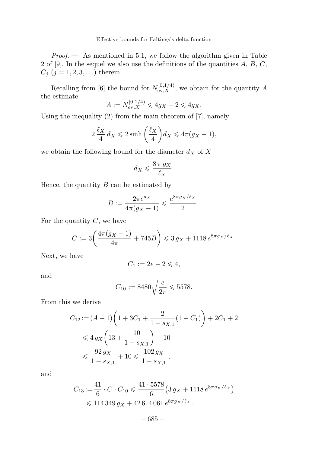*Proof.*  $\rightarrow$  As mentioned in 5.1, we follow the algorithm given in Table 2 of [9]. In the sequel we also use the definitions of the quantities  $A, B, C$ ,  $C_j$   $(j = 1, 2, 3, ...)$  therein.

Recalling from [6] the bound for  $N_{\text{ev},X}^{[0,1/4)}$ , we obtain for the quantity A the estimate

$$
A := N_{\text{ev}, X}^{[0, 1/4)} \leq 4g_X - 2 \leq 4g_X.
$$

Using the inequality (2) from the main theorem of [7], namely

$$
2\frac{\ell_X}{4}d_X \leqslant 2\sinh\left(\frac{\ell_X}{4}\right)d_X \leqslant 4\pi(g_X-1),
$$

we obtain the following bound for the diameter  $d_X$  of X

$$
d_X \leqslant \frac{8 \pi g_X}{\ell_X}.
$$

Hence, the quantity  $B$  can be estimated by

$$
B := \frac{2\pi e^{d_X}}{4\pi (g_X - 1)} \leqslant \frac{e^{8\pi g_X/\ell_X}}{2}.
$$

For the quantity  $C$ , we have

$$
C := 3\left(\frac{4\pi(g_X - 1)}{4\pi} + 745B\right) \leq 3 g_X + 1118 e^{8\pi g_X/\ell_X}.
$$

Next, we have

$$
C_1:=2e-2\leqslant 4,
$$

and

$$
C_{10} := 8480 \sqrt{\frac{e}{2\pi}} \le 5578.
$$

From this we derive

$$
C_{12} := (A - 1) \left( 1 + 3C_1 + \frac{2}{1 - s_{X,1}} (1 + C_1) \right) + 2C_1 + 2
$$
  
\$\leqslant 4 \, g\_X \left( 13 + \frac{10}{1 - s\_{X,1}} \right) + 10\$  
\$\leqslant \frac{92 \, g\_X}{1 - s\_{X,1}} + 10 \leqslant \frac{102 \, g\_X}{1 - s\_{X,1}}\$,

and

$$
C_{13} := \frac{41}{6} \cdot C \cdot C_{10} \leq \frac{41 \cdot 5578}{6} \left( 3 \, g_X + 1118 \, e^{8\pi g_X/\ell_X} \right)
$$
  
\$\leqslant 114349 \, g\_X + 42614061 \, e^{8\pi g\_X/\ell\_X}\$.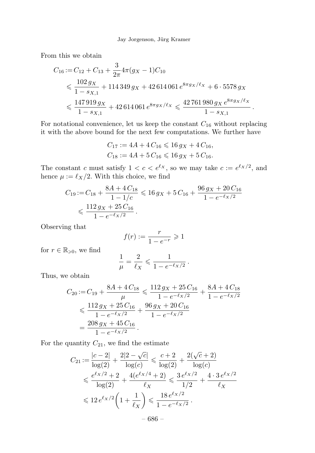From this we obtain

$$
C_{16} := C_{12} + C_{13} + \frac{3}{2\pi} 4\pi (g_X - 1) C_{10}
$$
  
\$\leq \frac{102 g\_X}{1 - s\_{X,1}} + 114349 g\_X + 42614061 e^{8\pi g\_X/\ell\_X} + 6 \cdot 5578 g\_X\$  
\$\leq \frac{147919 g\_X}{1 - s\_{X,1}} + 42614061 e^{8\pi g\_X/\ell\_X} \leq \frac{42761980 g\_X e^{8\pi g\_X/\ell\_X}}{1 - s\_{X,1}}.

For notational convenience, let us keep the constant  $C_{16}$  without replacing it with the above bound for the next few computations.We further have

$$
C_{17} := 4A + 4C_{16} \le 16 g_X + 4 C_{16},
$$
  
\n
$$
C_{18} := 4A + 5 C_{16} \le 16 g_X + 5 C_{16}.
$$

The constant c must satisfy  $1 < c < e^{\ell x}$ , so we may take  $c := e^{\ell x/2}$ , and hence  $\mu := \ell_X/2$ . With this choice, we find

$$
C_{19} := C_{18} + \frac{8A + 4C_{18}}{1 - 1/c} \le 16 g_X + 5 C_{16} + \frac{96 g_X + 20 C_{16}}{1 - e^{-\ell_X/2}}
$$
  

$$
\le \frac{112 g_X + 25 C_{16}}{1 - e^{-\ell_X/2}}.
$$

Observing that

$$
f(r) := \frac{r}{1 - e^{-r}} \geq 1
$$

for  $r \in \mathbb{R}_{\geqslant 0}$ , we find

$$
\frac{1}{\mu} = \frac{2}{\ell_X} \leqslant \frac{1}{1 - e^{-\ell_X/2}}.
$$

Thus, we obtain

$$
C_{20} := C_{19} + \frac{8A + 4C_{18}}{\mu} \leqslant \frac{112 g_X + 25 C_{16}}{1 - e^{-\ell_X/2}} + \frac{8A + 4C_{18}}{1 - e^{-\ell_X/2}}
$$

$$
\leqslant \frac{112 g_X + 25 C_{16}}{1 - e^{-\ell_X/2}} + \frac{96 g_X + 20 C_{16}}{1 - e^{-\ell_X/2}}
$$

$$
= \frac{208 g_X + 45 C_{16}}{1 - e^{-\ell_X/2}}.
$$

For the quantity  $C_{21}$ , we find the estimate

$$
C_{21} := \frac{|c-2|}{\log(2)} + \frac{2|2-\sqrt{c}|}{\log(c)} \le \frac{c+2}{\log(2)} + \frac{2(\sqrt{c}+2)}{\log(c)}
$$
  

$$
\le \frac{e^{\ell_X/2} + 2}{\log(2)} + \frac{4(e^{\ell_X/4} + 2)}{\ell_X} \le \frac{3e^{\ell_X/2}}{1/2} + \frac{4 \cdot 3e^{\ell_X/2}}{\ell_X}
$$
  

$$
\le 12e^{\ell_X/2}\left(1 + \frac{1}{\ell_X}\right) \le \frac{18e^{\ell_X/2}}{1 - e^{-\ell_X/2}}.
$$
  

$$
-686 -
$$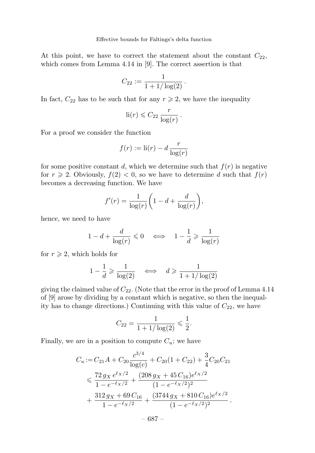At this point, we have to correct the statement about the constant  $C_{22}$ , which comes from Lemma 4.14 in [9]. The correct assertion is that

$$
C_{22} := \frac{1}{1 + 1/\log(2)}.
$$

In fact,  $C_{22}$  has to be such that for any  $r \geqslant 2$ , we have the inequality

$$
\mathrm{li}(r) \leqslant C_{22} \, \frac{r}{\log(r)} \, .
$$

For a proof we consider the function

$$
f(r) := \text{li}(r) - d \frac{r}{\log(r)}
$$

for some positive constant d, which we determine such that  $f(r)$  is negative for  $r \ge 2$ . Obviously,  $f(2) < 0$ , so we have to determine d such that  $f(r)$ becomes a decreasing function.We have

$$
f'(r) = \frac{1}{\log(r)} \left( 1 - d + \frac{d}{\log(r)} \right),\,
$$

hence, we need to have

$$
1 - d + \frac{d}{\log(r)} \leq 0 \quad \Longleftrightarrow \quad 1 - \frac{1}{d} \geqslant \frac{1}{\log(r)}
$$

for  $r \geqslant 2$ , which holds for

$$
1 - \frac{1}{d} \geqslant \frac{1}{\log(2)} \quad \iff \quad d \geqslant \frac{1}{1 + 1/\log(2)}
$$

giving the claimed value of  $C_{22}$ . (Note that the error in the proof of Lemma 4.14 of [9] arose by dividing by a constant which is negative, so then the inequality has to change directions.) Continuing with this value of  $C_{22}$ , we have

$$
C_{22} = \frac{1}{1 + 1/\log(2)} \leqslant \frac{1}{2}.
$$

Finally, we are in a position to compute  $C_u$ ; we have

$$
C_u := C_{21}A + C_{20}\frac{c^{3/4}}{\log(c)} + C_{20}(1 + C_{22}) + \frac{3}{4}C_{20}C_{21}
$$
  
\n
$$
\leq \frac{72 g_X e^{\ell_X/2}}{1 - e^{-\ell_X/2}} + \frac{(208 g_X + 45 C_{16})e^{\ell_X/2}}{(1 - e^{-\ell_X/2})^2} + \frac{312 g_X + 69 C_{16}}{1 - e^{-\ell_X/2}} + \frac{(3744 g_X + 810 C_{16})e^{\ell_X/2}}{(1 - e^{-\ell_X/2})^2}.
$$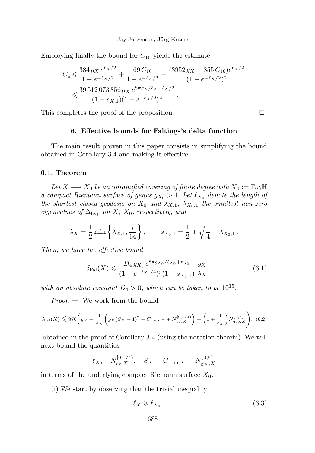Employing finally the bound for  $C_{16}$  yields the estimate

$$
C_u \leq \frac{384 g_X e^{\ell x/2}}{1 - e^{-\ell x/2}} + \frac{69 C_{16}}{1 - e^{-\ell x/2}} + \frac{(3952 g_X + 855 C_{16}) e^{\ell x/2}}{(1 - e^{-\ell x/2})^2} \leq \frac{39512073 856 g_X e^{8\pi g_X/\ell x + \ell x/2}}{(1 - s_{X,1})(1 - e^{-\ell x/2})^2}.
$$

This completes the proof of the proposition.

#### 6. Effective bounds for Faltings's delta function

The main result proven in this paper consists in simplifying the bound obtained in Corollary 3.4 and making it effective.

# 6.1. Theorem

Let  $X \longrightarrow X_0$  be an unramified covering of finite degree with  $X_0 := \Gamma_0 \backslash \mathbb{H}$ a compact Riemann surface of genus  $g_{X_0} > 1$ . Let  $\ell_{X_0}$  denote the length of the shortest closed geodesic on  $X_0$  and  $\lambda_{X,1}$ ,  $\lambda_{X_0,1}$  the smallest non-zero eigenvalues of  $\Delta_{\text{hyp}}$  on X,  $X_0$ , respectively, and

$$
\lambda_X = \frac{1}{2} \min \left\{ \lambda_{X,1}, \frac{7}{64} \right\}, \qquad s_{X_0,1} = \frac{1}{2} + \sqrt{\frac{1}{4} - \lambda_{X_0,1}} \, .
$$

Then, we have the effective bound

$$
\delta_{\text{Fal}}(X) \leq \frac{D_4 g_{X_0} e^{8\pi g_{X_0}/\ell_{X_0} + \ell_{X_0}}}{(1 - e^{-\ell_{X_0}/4})^5 (1 - s_{X_0,1})} \frac{g_X}{\lambda_X} \tag{6.1}
$$

with an absolute constant  $D_4 > 0$ , which can be taken to be  $10^{15}$ .

Proof. — We work from the bound

$$
\delta_{\text{Fa}}(X) \leq 876 \left( g_X + \frac{1}{\lambda_X} \left( g_X (S_X + 1)^2 + C_{\text{Hub},X} + N_{\text{ev},X}^{[0,1/4)} \right) + \left( 1 + \frac{1}{\ell_X} \right) N_{\text{geo},X}^{(0,5)} \right). \tag{6.2}
$$

obtained in the proof of Corollary 3.4 (using the notation therein). We will next bound the quantities

 $\ell_X, \quad N_{\text{ev},X}^{[0,1/4)}, \quad S_X, \quad C_{\text{Hub},X}, \quad N_{\text{geo},X}^{(0,5)}$ 

in terms of the underlying compact Riemann surface  $X_0$ .

(i) We start by observing that the trivial inequality

$$
\ell_X \geqslant \ell_{X_0} \tag{6.3}
$$

– 688 –

 $\Box$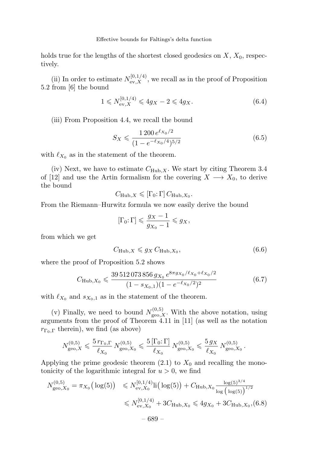holds true for the lengths of the shortest closed geodesics on  $X, X_0$ , respectively.

(ii) In order to estimate  $N_{\text{ev},X}^{[0,1/4)}$ , we recall as in the proof of Proposition 5.2 from [6] the bound

$$
1 \leq N_{\text{ev}, X}^{[0, 1/4)} \leq 4g_X - 2 \leq 4g_X. \tag{6.4}
$$

(iii) From Proposition 4.4, we recall the bound

$$
S_X \leqslant \frac{1200 \, e^{\ell x_0/2}}{(1 - e^{-\ell x_0/4})^{5/2}} \tag{6.5}
$$

with  $\ell_{X_0}$  as in the statement of the theorem.

(iv) Next, we have to estimate  $C_{\text{Hub},X}$ . We start by citing Theorem 3.4 of [12] and use the Artin formalism for the covering  $X \longrightarrow X_0$ , to derive the bound

$$
C_{\mathrm{Hub},X} \leqslant [\Gamma_0:\Gamma] C_{\mathrm{Hub},X_0}.
$$

From the Riemann–Hurwitz formula we now easily derive the bound

$$
[\Gamma_0; \Gamma] \leqslant \frac{g_X - 1}{g_{X_0} - 1} \leqslant g_X,
$$

from which we get

$$
C_{\text{Hub},X} \leqslant g_X C_{\text{Hub},X_0},\tag{6.6}
$$

where the proof of Proposition 5.2 shows

$$
C_{\text{Hub},X_0} \leqslant \frac{39\,512\,073\,856\,g_{X_0}\,e^{8\pi g_{X_0}/\ell_{X_0} + \ell_{X_0}/2}}{(1 - s_{X_0,1})(1 - e^{-\ell_{X_0}/2})^2} \tag{6.7}
$$

with  $\ell_{X_0}$  and  $s_{X_0,1}$  as in the statement of the theorem.

(v) Finally, we need to bound  $N_{\text{geo},X}^{(0,5)}$ . With the above notation, using arguments from the proof of Theorem 4.11 in [11] (as well as the notation  $r_{\Gamma_0,\Gamma}$  therein), we find (as above)

$$
N_{\rm geo, X}^{(0,5)} \leqslant \frac{5 \, r_{\Gamma_0, \Gamma}}{\ell_{X_0}} \, N_{\rm geo, X_0}^{(0,5)} \leqslant \frac{5 \, [\Gamma_0: \Gamma]}{\ell_{X_0}} \, N_{\rm geo, X_0}^{(0,5)} \leqslant \frac{5 \, g_X}{\ell_{X_0}} \, N_{\rm geo, X_0}^{(0,5)} \, .
$$

Applying the prime geodesic theorem  $(2.1)$  to  $X_0$  and recalling the monotonicity of the logarithmic integral for  $u > 0$ , we find

$$
N_{\text{geo}, X_0}^{(0,5)} = \pi_{X_0} \left( \log(5) \right) \le N_{\text{ev}, X_0}^{\left[ 0, 1/4 \right]} \text{li} \left( \log(5) \right) + C_{\text{Hub}, X_0} \frac{\log(5)^{3/4}}{\log \left( \log(5) \right)^{1/2}} \le N_{\text{ev}, X_0}^{\left[ 0, 1/4 \right]} + 3C_{\text{Hub}, X_0} \le 4g_{X_0} + 3C_{\text{Hub}, X_0}, (6.8)
$$

$$
- 689 -
$$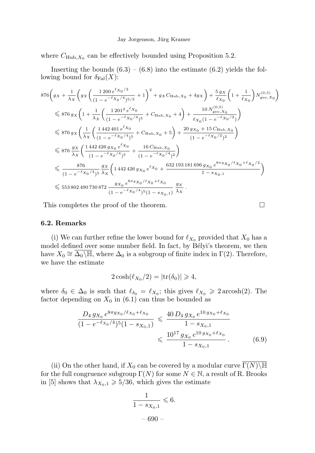where  $C_{\text{Hub},X_0}$  can be effectively bounded using Proposition 5.2.

Inserting the bounds  $(6.3) - (6.8)$  into the estimate  $(6.2)$  yields the following bound for  $\delta_{\text{Fal}}(X)$ :

$$
876\left(g_{X} + \frac{1}{\lambda_{X}}\left(g_{X}\left(\frac{1200e^{\ell_{X_{0}}/2}}{(1 - e^{-\ell_{X_{0}}/4})^{5/2}} + 1\right)^{2} + g_{X}C_{\text{Hub},X_{0}} + 4g_{X}\right) + \frac{5g_{X}}{\ell_{X_{0}}}\left(1 + \frac{1}{\ell_{X_{0}}}\right)N_{\text{geo},X_{0}}^{(0,5)}\right)
$$
  
\n
$$
\leq 876 g_{X}\left(1 + \frac{1}{\lambda_{X}}\left(\frac{1201^{2}e^{\ell_{X_{0}}}}{(1 - e^{-\ell_{X_{0}}/4})^{5}} + C_{\text{Hub},X_{0}} + 4\right) + \frac{10N_{\text{geo},X_{0}}^{(0,5)}}{\ell_{X_{0}}(1 - e^{-\ell_{X_{0}}/2})}\right)
$$
  
\n
$$
\leq 876 g_{X}\left(\frac{1}{\lambda_{X}}\left(\frac{1442401e^{\ell_{X_{0}}}}{(1 - e^{-\ell_{X_{0}}/4})^{5}} + C_{\text{Hub},X_{0}} + 5\right) + \frac{20g_{X_{0}} + 15C_{\text{Hub},X_{0}}}{(1 - e^{-\ell_{X_{0}}/2})^{2}}\right)
$$
  
\n
$$
\leq 876 \frac{g_{X}}{\lambda_{X}}\left(\frac{1442426 g_{X_{0}}e^{\ell_{X_{0}}}}{(1 - e^{-\ell_{X_{0}}/4})^{5}} + \frac{16C_{\text{Hub},X_{0}}}{(1 - e^{-\ell_{X_{0}}/4})^{2}}\right)
$$
  
\n
$$
\leq \frac{876}{(1 - e^{-\ell_{X_{0}}/4})^{5}} \frac{g_{X}}{\lambda_{X}}\left(1442426 g_{X_{0}}e^{\ell_{X_{0}}} + \frac{632193181696 g_{X_{0}}e^{8\pi g_{X_{0}}/\ell_{X_{0}} + \ell_{X_{0}}/2}{1 - s_{X_{0},1}}\right)
$$
  
\n
$$
\leq 553802490730872 \frac{g_{X_{0}}e^{8\pi g_{X_{0}}/\ell_{X_{0}} + \ell_{X_{0}}}{(1 - e^{-
$$

This completes the proof of the theorem.  $\Box$ 

#### 6.2. Remarks

(i) We can further refine the lower bound for  $\ell_{X_0}$  provided that  $X_0$  has a model defined over some number field. In fact, by Bélyi's theorem, we then have  $X_0 \cong \overline{\Delta_0 \setminus \mathbb{H}}$ , where  $\Delta_0$  is a subgroup of finite index in  $\Gamma(2)$ . Therefore, we have the estimate

$$
2\cosh(\ell_{X_0}/2) = |\text{tr}(\delta_0)| \geq 4,
$$

where  $\delta_0 \in \Delta_0$  is such that  $\ell_{\delta_0} = \ell_{X_0}$ ; this gives  $\ell_{X_0} \geq 2 \arccosh(2)$ . The factor depending on  $X_0$  in (6.1) can thus be bounded as

$$
\frac{D_4 g_{X_0} e^{8\pi g_{X_0}/\ell_{X_0} + \ell_{X_0}}}{(1 - e^{-\ell_{X_0}/4})^5 (1 - s_{X_0,1})} \leq \frac{40 D_4 g_{X_0} e^{10 g_{X_0} + \ell_{X_0}}}{1 - s_{X_0,1}} \leq \frac{10^{17} g_{X_0} e^{10 g_{X_0} + \ell_{X_0}}}{1 - s_{X_0,1}}.
$$
\n(6.9)

(ii) On the other hand, if  $X_0$  can be covered by a modular curve  $\overline{\Gamma(N) \backslash \mathbb{H}}$ for the full congruence subgroup  $\Gamma(N)$  for some  $N \in \mathbb{N}$ , a result of R. Brooks in [5] shows that  $\lambda_{X_0,1} \geqslant 5/36$ , which gives the estimate

$$
\frac{1}{1 - s_{X_0,1}} \leqslant 6.
$$
  

$$
- 690 -
$$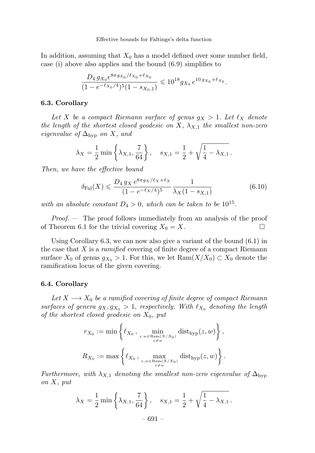In addition, assuming that  $X_0$  has a model defined over some number field, case (i) above also applies and the bound (6.9) simplifies to

$$
\frac{D_4 g_{X_0} e^{8\pi g_{X_0}/\ell_{X_0} + \ell_{X_0}}}{(1 - e^{-\ell_{X_0}/4})^5 (1 - s_{X_0,1})} \leq 10^{18} g_{X_0} e^{10 g_{X_0} + \ell_{X_0}}.
$$

# 6.3. Corollary

Let X be a compact Riemann surface of genus  $g_X > 1$ . Let  $\ell_X$  denote the length of the shortest closed geodesic on X,  $\lambda_{X,1}$  the smallest non-zero eigenvalue of  $\Delta_{\text{hyp}}$  on X, and

$$
\lambda_X = \frac{1}{2} \min \left\{ \lambda_{X,1}, \frac{7}{64} \right\}, \quad s_{X,1} = \frac{1}{2} + \sqrt{\frac{1}{4} - \lambda_{X,1}}.
$$

Then, we have the effective bound

$$
\delta_{\text{Pal}}(X) \leq \frac{D_4 g_X e^{8\pi g_X/\ell_X + \ell_X}}{(1 - e^{-\ell_X/4})^5} \frac{1}{\lambda_X (1 - s_{X,1})} \tag{6.10}
$$

with an absolute constant  $D_4 > 0$ , which can be taken to be  $10^{15}$ .

*Proof.*  $\longrightarrow$  The proof follows immediately from an analysis of the proof of Theorem 6.1 for the trivial covering  $X_0 = X$ .  $\Box$ 

Using Corollary 6.3, we can now also give a variant of the bound (6.1) in the case that  $X$  is a *ramified* covering of finite degree of a compact Riemann surface  $X_0$  of genus  $g_{X_0} > 1$ . For this, we let  $\text{Ram}(X/X_0) \subset X_0$  denote the ramification locus of the given covering.

# 6.4. Corollary

Let  $X \longrightarrow X_0$  be a ramified covering of finite degree of compact Riemann surfaces of genera  $g_X, g_{X_0} > 1$ , respectively. With  $\ell_{X_0}$  denoting the length of the shortest closed geodesic on  $X_0$ , put

$$
\begin{split} r_{X_0}&:=\min\left\{\ell_{X_0}\,,\,\min_{\underset{z\neq w}{\text{mean}}(X/X_0)}\,\text{dist}_{\text{hyp}}(z,w)\right\},\\ R_{X_0}&:=\max\left\{\ell_{X_0}\,,\,\max_{\underset{z\neq w}{\text{mean}}(X/X_0)}\,\text{dist}_{\text{hyp}}(z,w)\right\}. \end{split}
$$

Furthermore, with  $\lambda_{X,1}$  denoting the smallest non-zero eigenvalue of  $\Delta_{\rm hyp}$ on X, put

$$
\lambda_X = \frac{1}{2} \min \left\{ \lambda_{X,1}, \frac{7}{64} \right\}, \quad s_{X,1} = \frac{1}{2} + \sqrt{\frac{1}{4} - \lambda_{X,1}}.
$$
  
  $-691 -$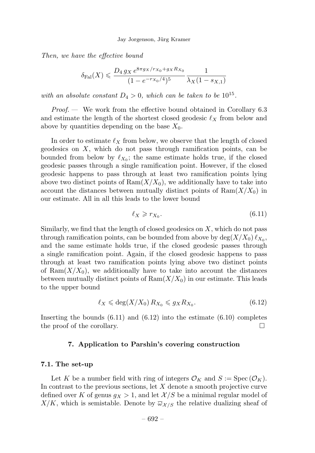Then, we have the effective bound

$$
\delta_{\mathrm{Fal}}(X) \leqslant \frac{D_4 g_X \, e^{8\pi g_X/r_{X_0} + g_X R_{X_0}}}{(1 - e^{-r_{X_0}/4})^5} \frac{1}{\lambda_X (1 - s_{X,1})}
$$

with an absolute constant  $D_4 > 0$ , which can be taken to be  $10^{15}$ .

*Proof.*  $\rightarrow$  We work from the effective bound obtained in Corollary 6.3 and estimate the length of the shortest closed geodesic  $\ell_X$  from below and above by quantities depending on the base  $X_0$ .

In order to estimate  $\ell_X$  from below, we observe that the length of closed geodesics on  $X$ , which do not pass through ramification points, can be bounded from below by  $\ell_{X_0}$ ; the same estimate holds true, if the closed geodesic passes through a single ramification point.However, if the closed geodesic happens to pass through at least two ramification points lying above two distinct points of  $\text{Ram}(X/X_0)$ , we additionally have to take into account the distances between mutually distinct points of  $\text{Ram}(X/X_0)$  in our estimate.All in all this leads to the lower bound

$$
\ell_X \geqslant r_{X_0}.\tag{6.11}
$$

Similarly, we find that the length of closed geodesics on  $X$ , which do not pass through ramification points, can be bounded from above by  $\deg(X/X_0) \ell_{X_0}$ , and the same estimate holds true, if the closed geodesic passes through a single ramification point.Again, if the closed geodesic happens to pass through at least two ramification points lying above two distinct points of Ram $(X/X_0)$ , we additionally have to take into account the distances between mutually distinct points of  $\text{Ram}(X/X_0)$  in our estimate. This leads to the upper bound

$$
\ell_X \leqslant \deg(X/X_0) \, R_{X_0} \leqslant g_X R_{X_0}.\tag{6.12}
$$

Inserting the bounds  $(6.11)$  and  $(6.12)$  into the estimate  $(6.10)$  completes the proof of the corollary.  $\Box$ 

# 7. Application to Parshin's covering construction

#### 7.1. The set-up

Let K be a number field with ring of integers  $\mathcal{O}_K$  and  $S := \operatorname{Spec}(\mathcal{O}_K)$ . In contrast to the previous sections, let  $X$  denote a smooth projective curve defined over K of genus  $g_X > 1$ , and let  $\mathcal{X}/S$  be a minimal regular model of  $X/K$ , which is semistable. Denote by  $\overline{\omega}_{X/S}$  the relative dualizing sheaf of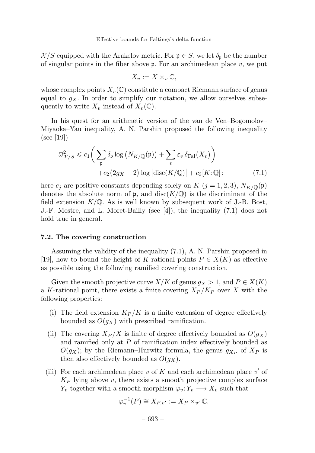$\mathcal{X}/S$  equipped with the Arakelov metric. For  $\mathfrak{p} \in S$ , we let  $\delta_{\mathfrak{p}}$  be the number of singular points in the fiber above  $\mathfrak{p}$ . For an archimedean place v, we put

$$
X_v := X \times_v \mathbb{C},
$$

whose complex points  $X_v(\mathbb{C})$  constitute a compact Riemann surface of genus equal to  $g_X$ . In order to simplify our notation, we allow ourselves subsequently to write  $X_v$  instead of  $X_v(\mathbb{C})$ .

In his quest for an arithmetic version of the van de Ven–Bogomolov– Miyaoka–Yau inequality, A.N.Parshin proposed the following inequality (see [19])

$$
\overline{\omega}_{X/S}^2 \leqslant c_1 \bigg( \sum_{\mathfrak{p}} \delta_{\mathfrak{p}} \log \big( N_{K/\mathbb{Q}}(\mathfrak{p}) \big) + \sum_{v} \varepsilon_{v} \delta_{\text{Fal}} \big( X_v \big) \bigg) + c_2 \big( 2g_X - 2 \big) \log \big| \text{disc}(K/\mathbb{Q}) \big| + c_3[K; \mathbb{Q}]; \tag{7.1}
$$

here  $c_j$  are positive constants depending solely on K  $(j = 1, 2, 3)$ ,  $N_{K/\mathbb{Q}}(\mathfrak{p})$ denotes the absolute norm of  $\mathfrak{p}$ , and disc( $K/\mathbb{Q}$ ) is the discriminant of the field extension  $K/\mathbb{Q}$ . As is well known by subsequent work of J.-B. Bost, J.-F. Mestre, and L. Moret-Bailly (see [4]), the inequality (7.1) does not hold true in general.

#### 7.2. The covering construction

Assuming the validity of the inequality  $(7.1)$ , A.N. Parshin proposed in [19], how to bound the height of K-rational points  $P \in X(K)$  as effective as possible using the following ramified covering construction.

Given the smooth projective curve  $X/K$  of genus  $g_X > 1$ , and  $P \in X(K)$ a K-rational point, there exists a finite covering  $X_P / K_P$  over X with the following properties:

- (i) The field extension  $K_P/K$  is a finite extension of degree effectively bounded as  $O(g_X)$  with prescribed ramification.
- (ii) The covering  $X_P/X$  is finite of degree effectively bounded as  $O(q_X)$ and ramified only at  $P$  of ramification index effectively bounded as  $O(g_X)$ ; by the Riemann–Hurwitz formula, the genus  $g_{X_P}$  of  $X_P$  is then also effectively bounded as  $O(g_X)$ .
- (iii) For each archimedean place v of K and each archimedean place  $v'$  of  $K_P$  lying above v, there exists a smooth projective complex surface  $Y_v$  together with a smooth morphism  $\varphi_v: Y_v \longrightarrow X_v$  such that

$$
\varphi_v^{-1}(P) \cong X_{P,v'} := X_P \times_{v'} \mathbb{C}.
$$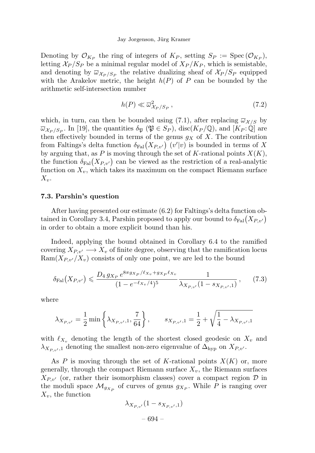#### Jay Jorgenson, Jürg Kramer

Denoting by  $\mathcal{O}_{K_P}$  the ring of integers of  $K_P$ , setting  $S_P := \text{Spec}(\mathcal{O}_{K_P}),$ letting  $\mathcal{X}_P / S_P$  be a minimal regular model of  $X_P / K_P$ , which is semistable, and denoting by  $\overline{\omega}_{\mathcal{X}_P/S_P}$  the relative dualizing sheaf of  $\mathcal{X}_P/S_P$  equipped with the Arakelov metric, the height  $h(P)$  of P can be bounded by the arithmetic self-intersection number

$$
h(P) \ll \overline{\omega}_{\mathcal{X}_P/S_P}^2 \,,\tag{7.2}
$$

which, in turn, can then be bounded using (7.1), after replacing  $\overline{\omega}_{\mathcal{X}/S}$  by  $\overline{\omega}_{X_P/S_P}$ . In [19], the quantities  $\delta_{\mathfrak{P}}(\mathfrak{P} \in S_P)$ , disc $(K_P/\mathbb{Q})$ , and  $[K_P:\mathbb{Q}]$  are then effectively bounded in terms of the genus  $g_X$  of X. The contribution from Faltings's delta function  $\delta_{\text{Fal}}(X_{P,v'})$  (v'|v) is bounded in terms of X by arguing that, as P is moving through the set of K-rational points  $X(K)$ , the function  $\delta_{\text{Fal}}(X_{P,v})$  can be viewed as the restriction of a real-analytic function on  $X_v$ , which takes its maximum on the compact Riemann surface  $X_v$ .

# 7.3. Parshin's question

After having presented our estimate (6.2) for Faltings's delta function obtained in Corollary 3.4, Parshin proposed to apply our bound to  $\delta_{\text{Fal}}(X_{P,v'})$ in order to obtain a more explicit bound than his.

Indeed, applying the bound obtained in Corollary 6.4 to the ramified covering  $X_{P,v'} \longrightarrow X_v$  of finite degree, observing that the ramification locus  $\text{Ram}(X_{P,v'}/X_v)$  consists of only one point, we are led to the bound

$$
\delta_{\text{Fal}}(X_{P,v'}) \leq \frac{D_4 g_{X_P} e^{8\pi g_{X_P}/\ell_{X_v} + g_{X_P}\ell_{X_v}}}{(1 - e^{-\ell_{X_v}/4})^5} \frac{1}{\lambda_{X_{P,v'}}(1 - s_{X_{P,v'},1})},\tag{7.3}
$$

where

$$
\lambda_{X_{P,v'}} = \frac{1}{2} \min \left\{ \lambda_{X_{P,v'},1}, \frac{7}{64} \right\}, \qquad s_{X_{P,v'},1} = \frac{1}{2} + \sqrt{\frac{1}{4} - \lambda_{X_{P,v'},1}}
$$

with  $\ell_{X_v}$  denoting the length of the shortest closed geodesic on  $X_v$  and  $\lambda_{X_{P,v'}}$ ,1 denoting the smallest non-zero eigenvalue of  $\Delta_{\rm hyp}$  on  $X_{P,v'}$ .

As P is moving through the set of K-rational points  $X(K)$  or, more generally, through the compact Riemann surface  $X_v$ , the Riemann surfaces  $X_{P,v'}$  (or, rather their isomorphism classes) cover a compact region  $\mathcal D$  in the moduli space  $\mathcal{M}_{g_{X_P}}$  of curves of genus  $g_{X_P}$ . While P is ranging over  $X_v$ , the function

$$
\lambda_{X_{P,v'}}(1-s_{X_{P,v'},1})
$$

– 694 –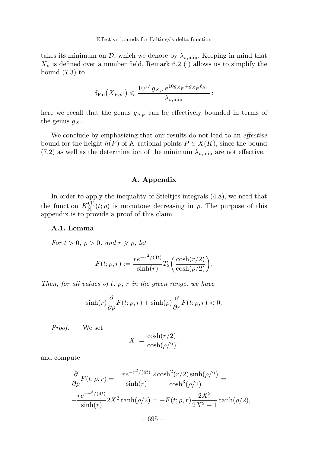takes its minimum on  $\mathcal{D}$ , which we denote by  $\lambda_{v,\text{min}}$ . Keeping in mind that  $X_v$  is defined over a number field, Remark 6.2 (i) allows us to simplify the bound (7.3) to

$$
\delta_{\text{Fal}}(X_{P,v'}) \leqslant \frac{10^{17} g_{X_P} e^{10 g_{X_P} + g_{X_P} \ell_{X_v}}}{\lambda_{v,\text{min}}} ;
$$

here we recall that the genus  $g_{X_P}$  can be effectively bounded in terms of the genus  $g_X$ .

We conclude by emphasizing that our results do not lead to an effective bound for the height  $h(P)$  of K-rational points  $P \in X(K)$ , since the bound (7.2) as well as the determination of the minimum  $\lambda_{v,\text{min}}$  are not effective.

# A. Appendix

In order to apply the inequality of Stieltjes integrals (4.8), we need that the function  $K_{\mathbb{H}}^{(1)}(t;\rho)$  is monotone decreasing in  $\rho$ . The purpose of this appendix is to provide a proof of this claim.

# A.1. Lemma

For  $t > 0$ ,  $\rho > 0$ , and  $r \geq \rho$ , let

$$
F(t; \rho, r) := \frac{re^{-r^2/(4t)}}{\sinh(r)} T_2 \bigg(\frac{\cosh(r/2)}{\cosh(\rho/2)}\bigg).
$$

Then, for all values of t,  $\rho$ , r in the given range, we have

$$
\sinh(r)\frac{\partial}{\partial \rho}F(t;\rho,r) + \sinh(\rho)\frac{\partial}{\partial r}F(t;\rho,r) < 0.
$$

 $Proof.$  We set

$$
X := \frac{\cosh(r/2)}{\cosh(\rho/2)},
$$

and compute

$$
\frac{\partial}{\partial \rho} F(t; \rho, r) = -\frac{r e^{-r^2/(4t)}}{\sinh(r)} \frac{2 \cosh^2(r/2) \sinh(\rho/2)}{\cosh^3(\rho/2)} = -\frac{r e^{-r^2/(4t)}}{\sinh(r)} 2X^2 \tanh(\rho/2) = -F(t; \rho, r) \frac{2X^2}{2X^2 - 1} \tanh(\rho/2),
$$

$$
-695-\\
$$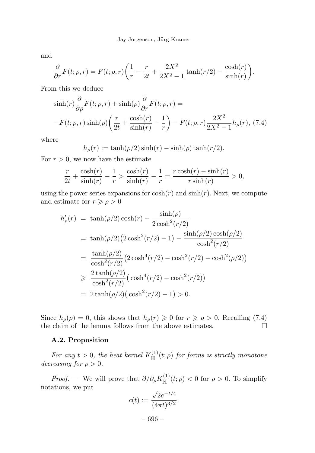and

$$
\frac{\partial}{\partial r}F(t;\rho,r) = F(t;\rho,r)\bigg(\frac{1}{r} - \frac{r}{2t} + \frac{2X^2}{2X^2 - 1}\tanh(r/2) - \frac{\cosh(r)}{\sinh(r)}\bigg).
$$

From this we deduce

$$
\sinh(r)\frac{\partial}{\partial \rho}F(t;\rho,r) + \sinh(\rho)\frac{\partial}{\partial r}F(t;\rho,r) =
$$
  
-F(t;\rho,r)  $\sinh(\rho)\left(\frac{r}{2t} + \frac{\cosh(r)}{\sinh(r)} - \frac{1}{r}\right) - F(t;\rho,r)\frac{2X^2}{2X^2 - 1}h_{\rho}(r)$ , (7.4)

where

$$
h_{\rho}(r) := \tanh(\rho/2)\sinh(r) - \sinh(\rho)\tanh(r/2).
$$

For  $r > 0$ , we now have the estimate

$$
\frac{r}{2t} + \frac{\cosh(r)}{\sinh(r)} - \frac{1}{r} > \frac{\cosh(r)}{\sinh(r)} - \frac{1}{r} = \frac{r\cosh(r) - \sinh(r)}{r\sinh(r)} > 0,
$$

using the power series expansions for  $cosh(r)$  and  $sinh(r)$ . Next, we compute and estimate for  $r \geqslant \rho > 0$ 

$$
h'_{\rho}(r) = \tanh(\rho/2)\cosh(r) - \frac{\sinh(\rho)}{2\cosh^2(r/2)}
$$
  
=  $\tanh(\rho/2)(2\cosh^2(r/2) - 1) - \frac{\sinh(\rho/2)\cosh(\rho/2)}{\cosh^2(r/2)}$   
=  $\frac{\tanh(\rho/2)}{\cosh^2(r/2)}(2\cosh^4(r/2) - \cosh^2(r/2) - \cosh^2(\rho/2))$   
 $\geq \frac{2\tanh(\rho/2)}{\cosh^2(r/2)}(\cosh^4(r/2) - \cosh^2(r/2))$   
=  $2\tanh(\rho/2)(\cosh^2(r/2) - 1) > 0.$ 

Since  $h_{\rho}(\rho) = 0$ , this shows that  $h_{\rho}(r) \geq 0$  for  $r \geq \rho > 0$ . Recalling (7.4) the claim of the lemma follows from the above estimates.  $\Box$ 

# A.2. Proposition

For any  $t > 0$ , the heat kernel  $K_{\mathbb{H}}^{(1)}(t;\rho)$  for forms is strictly monotone decreasing for  $\rho > 0$ .

*Proof.* — We will prove that  $\partial/\partial_{\rho}K_{\mathbb{H}}^{(1)}(t;\rho) < 0$  for  $\rho > 0$ . To simplify notations, we put

$$
c(t) := \frac{\sqrt{2}e^{-t/4}}{(4\pi t)^{3/2}}.
$$

– 696 –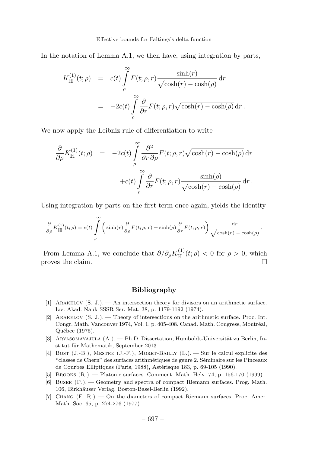In the notation of Lemma A.1, we then have, using integration by parts,

$$
K_{\mathbb{H}}^{(1)}(t; \rho) = c(t) \int_{\rho}^{\infty} F(t; \rho, r) \frac{\sinh(r)}{\sqrt{\cosh(r) - \cosh(\rho)}} dr
$$
  
= 
$$
-2c(t) \int_{\rho}^{\infty} \frac{\partial}{\partial r} F(t; \rho, r) \sqrt{\cosh(r) - \cosh(\rho)} dr.
$$

We now apply the Leibniz rule of differentiation to write

∞

$$
\frac{\partial}{\partial \rho} K_{\mathbb{H}}^{(1)}(t; \rho) = -2c(t) \int_{\rho}^{\infty} \frac{\partial^2}{\partial r \partial \rho} F(t; \rho, r) \sqrt{\cosh(r) - \cosh(\rho)} dr \n+ c(t) \int_{\rho}^{\infty} \frac{\partial}{\partial r} F(t; \rho, r) \frac{\sinh(\rho)}{\sqrt{\cosh(r) - \cosh(\rho)}} dr.
$$

Using integration by parts on the first term once again, yields the identity

$$
\frac{\partial}{\partial \rho} K_{\mathbb{H}}^{(1)}(t;\rho) = c(t) \int_{\rho} \left( \sinh(r) \frac{\partial}{\partial \rho} F(t;\rho,r) + \sinh(\rho) \frac{\partial}{\partial r} F(t;\rho,r) \right) \frac{\mathrm{d}r}{\sqrt{\cosh(r) - \cosh(\rho)}}
$$

.

From Lemma A.1, we conclude that  $\partial/\partial_{\rho}K_{\mathbb{H}}^{(1)}(t;\rho) < 0$  for  $\rho > 0$ , which proves the claim.  $\Box$ 

# Bibliography

- [1] Arakelov (S. J.). An intersection theory for divisors on an arithmetic surface. Izv. Akad. Nauk SSSR Ser. Mat. 38, p. 1179-1192 (1974).
- [2] Arakelov (S. J.). Theory of intersections on the arithmetic surface. Proc. Int. Congr. Math. Vancouver 1974, Vol. 1, p. 405-408. Canad. Math. Congress, Montréal, Québec (1975).
- [3] ARYASOMAYAJULA (A.). Ph.D. Dissertation, Humboldt-Universität zu Berlin, Institut für Mathematik, September 2013.
- [4] Bost (J.-B.), Mestre (J.-F.), Moret-Bailly (L.). Sur le calcul explicite des "classes de Chern" des surfaces arithmétiques de genre 2. Séminaire sur les Pinceaux de Courbes Elliptiques (Paris, 1988), Astérisque 183, p. 69-105 (1990).
- [5] Brooks (R.). Platonic surfaces. Comment. Math. Helv. 74, p. 156-170 (1999).
- [6] Buser (P.). Geometry and spectra of compact Riemann surfaces. Prog. Math. 106, Birkhäuser Verlag, Boston-Basel-Berlin (1992).
- [7] Chang (F. R.). On the diameters of compact Riemann surfaces. Proc. Amer. Math. Soc. 65, p. 274-276 (1977).